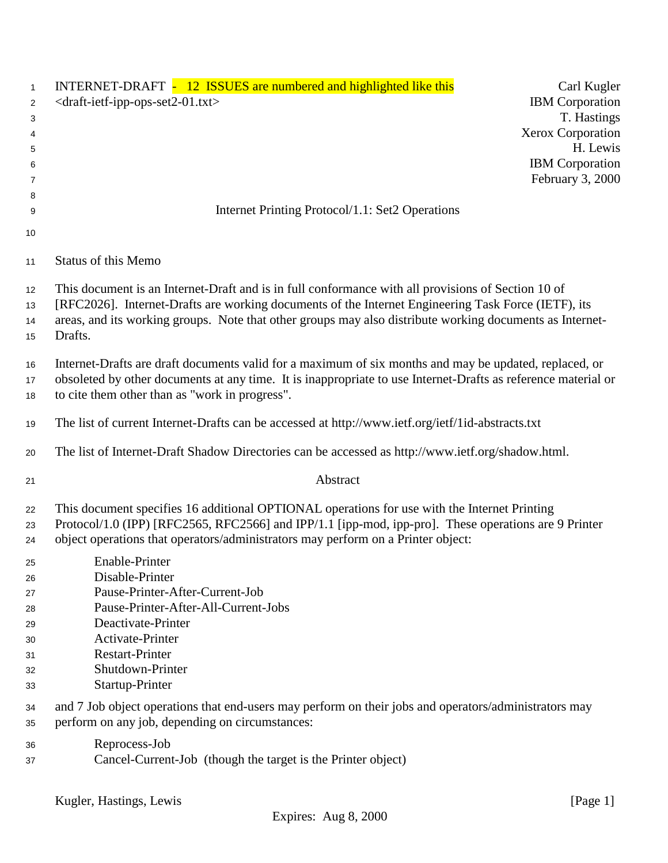| 1              | INTERNET-DRAFT - 12 ISSUES are numbered and highlighted like this                                                                                                                                                                                                                        | Carl Kugler            |  |  |  |  |
|----------------|------------------------------------------------------------------------------------------------------------------------------------------------------------------------------------------------------------------------------------------------------------------------------------------|------------------------|--|--|--|--|
| 2              | <draft-ietf-ipp-ops-set2-01.txt></draft-ietf-ipp-ops-set2-01.txt>                                                                                                                                                                                                                        | <b>IBM</b> Corporation |  |  |  |  |
| 3              |                                                                                                                                                                                                                                                                                          | T. Hastings            |  |  |  |  |
| 4              |                                                                                                                                                                                                                                                                                          | Xerox Corporation      |  |  |  |  |
| 5              |                                                                                                                                                                                                                                                                                          | H. Lewis               |  |  |  |  |
| 6              |                                                                                                                                                                                                                                                                                          | <b>IBM</b> Corporation |  |  |  |  |
| 7              |                                                                                                                                                                                                                                                                                          | February 3, 2000       |  |  |  |  |
| 8              |                                                                                                                                                                                                                                                                                          |                        |  |  |  |  |
| 9              | Internet Printing Protocol/1.1: Set2 Operations                                                                                                                                                                                                                                          |                        |  |  |  |  |
| 10             |                                                                                                                                                                                                                                                                                          |                        |  |  |  |  |
| 11             | <b>Status of this Memo</b>                                                                                                                                                                                                                                                               |                        |  |  |  |  |
| 12             | This document is an Internet-Draft and is in full conformance with all provisions of Section 10 of                                                                                                                                                                                       |                        |  |  |  |  |
| 13             | [RFC2026]. Internet-Drafts are working documents of the Internet Engineering Task Force (IETF), its                                                                                                                                                                                      |                        |  |  |  |  |
| 14             | areas, and its working groups. Note that other groups may also distribute working documents as Internet-                                                                                                                                                                                 |                        |  |  |  |  |
| 15             | Drafts.                                                                                                                                                                                                                                                                                  |                        |  |  |  |  |
|                | Internet-Drafts are draft documents valid for a maximum of six months and may be updated, replaced, or                                                                                                                                                                                   |                        |  |  |  |  |
| 16             | obsoleted by other documents at any time. It is inappropriate to use Internet-Drafts as reference material or                                                                                                                                                                            |                        |  |  |  |  |
| 17             | to cite them other than as "work in progress".                                                                                                                                                                                                                                           |                        |  |  |  |  |
| 18             |                                                                                                                                                                                                                                                                                          |                        |  |  |  |  |
| 19             | The list of current Internet-Drafts can be accessed at http://www.ietf.org/ietf/1id-abstracts.txt                                                                                                                                                                                        |                        |  |  |  |  |
| 20             | The list of Internet-Draft Shadow Directories can be accessed as http://www.ietf.org/shadow.html.                                                                                                                                                                                        |                        |  |  |  |  |
| 21             | Abstract                                                                                                                                                                                                                                                                                 |                        |  |  |  |  |
| 22<br>23<br>24 | This document specifies 16 additional OPTIONAL operations for use with the Internet Printing<br>Protocol/1.0 (IPP) [RFC2565, RFC2566] and IPP/1.1 [ipp-mod, ipp-pro]. These operations are 9 Printer<br>object operations that operators/administrators may perform on a Printer object: |                        |  |  |  |  |
| 25             | Enable-Printer                                                                                                                                                                                                                                                                           |                        |  |  |  |  |
| 26             | Disable-Printer                                                                                                                                                                                                                                                                          |                        |  |  |  |  |
| 27             | Pause-Printer-After-Current-Job                                                                                                                                                                                                                                                          |                        |  |  |  |  |
| 28             | Pause-Printer-After-All-Current-Jobs                                                                                                                                                                                                                                                     |                        |  |  |  |  |
| 29             | Deactivate-Printer                                                                                                                                                                                                                                                                       |                        |  |  |  |  |
| 30             | Activate-Printer                                                                                                                                                                                                                                                                         |                        |  |  |  |  |
| 31             | <b>Restart-Printer</b>                                                                                                                                                                                                                                                                   |                        |  |  |  |  |
| 32             | Shutdown-Printer                                                                                                                                                                                                                                                                         |                        |  |  |  |  |
| 33             | Startup-Printer                                                                                                                                                                                                                                                                          |                        |  |  |  |  |
| 34<br>35       | and 7 Job object operations that end-users may perform on their jobs and operators/administrators may<br>perform on any job, depending on circumstances:                                                                                                                                 |                        |  |  |  |  |
| 36             | Reprocess-Job                                                                                                                                                                                                                                                                            |                        |  |  |  |  |
| 37             | Cancel-Current-Job (though the target is the Printer object)                                                                                                                                                                                                                             |                        |  |  |  |  |
|                |                                                                                                                                                                                                                                                                                          |                        |  |  |  |  |
|                | Kugler, Hastings, Lewis                                                                                                                                                                                                                                                                  | [Page 1]               |  |  |  |  |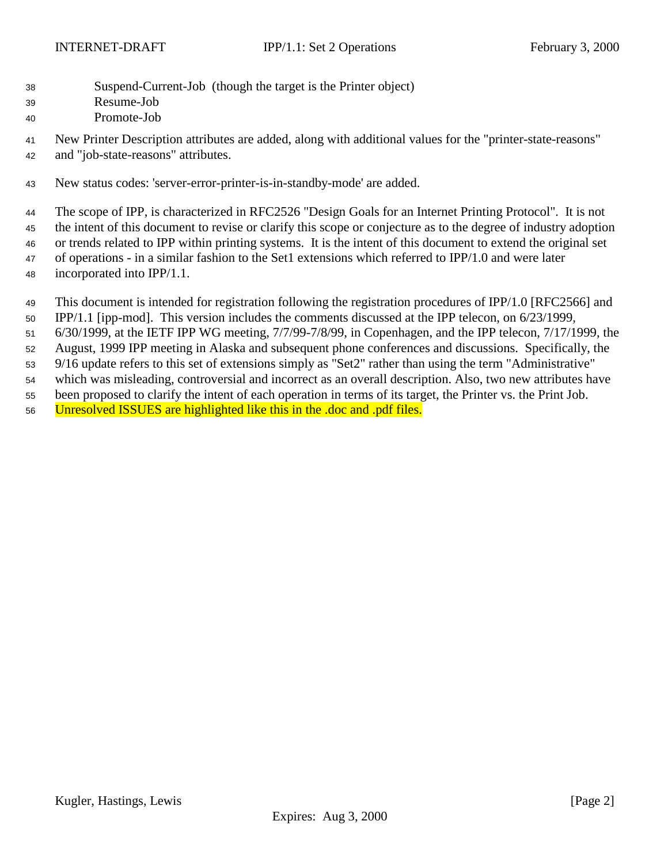- Suspend-Current-Job (though the target is the Printer object)
- Resume-Job
- Promote-Job

 New Printer Description attributes are added, along with additional values for the "printer-state-reasons" and "job-state-reasons" attributes.

New status codes: 'server-error-printer-is-in-standby-mode' are added.

 The scope of IPP, is characterized in RFC2526 "Design Goals for an Internet Printing Protocol". It is not the intent of this document to revise or clarify this scope or conjecture as to the degree of industry adoption or trends related to IPP within printing systems. It is the intent of this document to extend the original set of operations - in a similar fashion to the Set1 extensions which referred to IPP/1.0 and were later incorporated into IPP/1.1.

This document is intended for registration following the registration procedures of IPP/1.0 [RFC2566] and

IPP/1.1 [ipp-mod]. This version includes the comments discussed at the IPP telecon, on 6/23/1999,

6/30/1999, at the IETF IPP WG meeting, 7/7/99-7/8/99, in Copenhagen, and the IPP telecon, 7/17/1999, the

August, 1999 IPP meeting in Alaska and subsequent phone conferences and discussions. Specifically, the

9/16 update refers to this set of extensions simply as "Set2" rather than using the term "Administrative"

which was misleading, controversial and incorrect as an overall description. Also, two new attributes have

been proposed to clarify the intent of each operation in terms of its target, the Printer vs. the Print Job.

Unresolved ISSUES are highlighted like this in the .doc and .pdf files.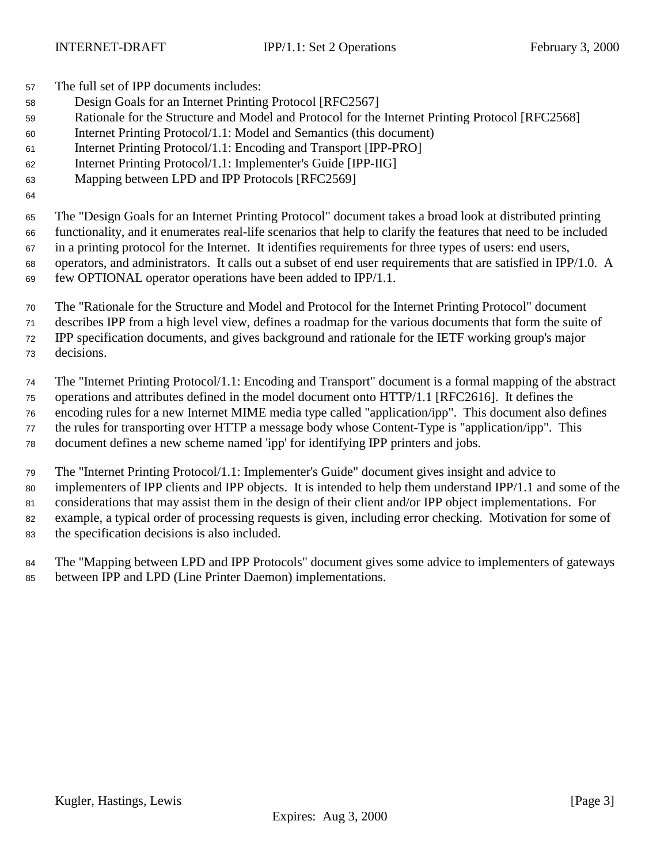The full set of IPP documents includes:

- Design Goals for an Internet Printing Protocol [RFC2567]
- Rationale for the Structure and Model and Protocol for the Internet Printing Protocol [RFC2568]
- Internet Printing Protocol/1.1: Model and Semantics (this document)
- Internet Printing Protocol/1.1: Encoding and Transport [IPP-PRO]
- Internet Printing Protocol/1.1: Implementer's Guide [IPP-IIG]
- Mapping between LPD and IPP Protocols [RFC2569]

 The "Design Goals for an Internet Printing Protocol" document takes a broad look at distributed printing functionality, and it enumerates real-life scenarios that help to clarify the features that need to be included in a printing protocol for the Internet. It identifies requirements for three types of users: end users, operators, and administrators. It calls out a subset of end user requirements that are satisfied in IPP/1.0. A few OPTIONAL operator operations have been added to IPP/1.1.

The "Rationale for the Structure and Model and Protocol for the Internet Printing Protocol" document

 describes IPP from a high level view, defines a roadmap for the various documents that form the suite of IPP specification documents, and gives background and rationale for the IETF working group's major

decisions.

The "Internet Printing Protocol/1.1: Encoding and Transport" document is a formal mapping of the abstract

operations and attributes defined in the model document onto HTTP/1.1 [RFC2616]. It defines the

encoding rules for a new Internet MIME media type called "application/ipp". This document also defines

the rules for transporting over HTTP a message body whose Content-Type is "application/ipp". This

document defines a new scheme named 'ipp' for identifying IPP printers and jobs.

 The "Internet Printing Protocol/1.1: Implementer's Guide" document gives insight and advice to implementers of IPP clients and IPP objects. It is intended to help them understand IPP/1.1 and some of the considerations that may assist them in the design of their client and/or IPP object implementations. For example, a typical order of processing requests is given, including error checking. Motivation for some of the specification decisions is also included.

 The "Mapping between LPD and IPP Protocols" document gives some advice to implementers of gateways between IPP and LPD (Line Printer Daemon) implementations.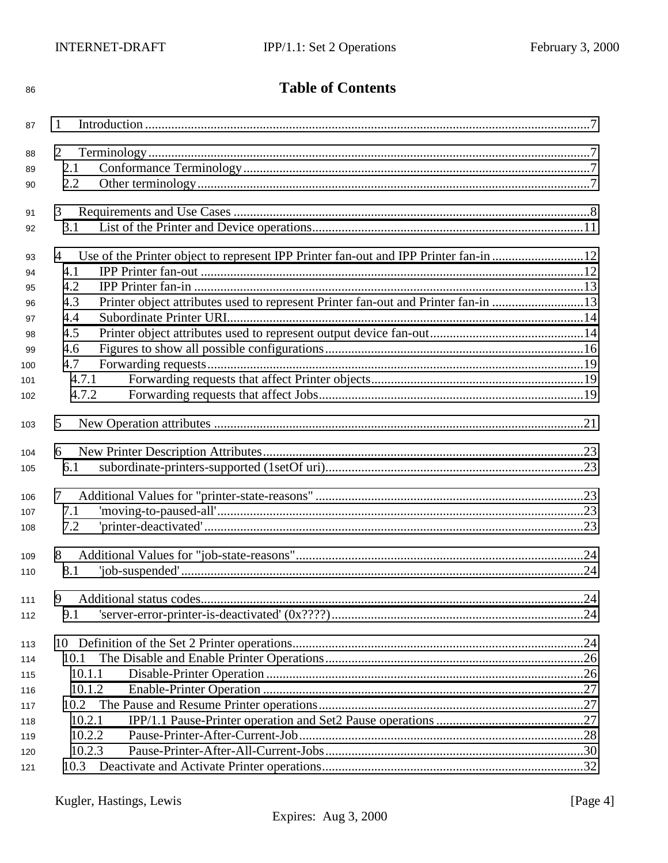| 86  | <b>Table of Contents</b>                                                                  |  |  |  |  |  |
|-----|-------------------------------------------------------------------------------------------|--|--|--|--|--|
| 87  | 1                                                                                         |  |  |  |  |  |
| 88  | $\overline{2}$                                                                            |  |  |  |  |  |
| 89  | 2.1                                                                                       |  |  |  |  |  |
| 90  | 2.2                                                                                       |  |  |  |  |  |
| 91  | 3                                                                                         |  |  |  |  |  |
| 92  | 3.1                                                                                       |  |  |  |  |  |
|     |                                                                                           |  |  |  |  |  |
| 93  | Use of the Printer object to represent IPP Printer fan-out and IPP Printer fan-in 12<br>4 |  |  |  |  |  |
| 94  | 4.1                                                                                       |  |  |  |  |  |
| 95  | 4.2                                                                                       |  |  |  |  |  |
| 96  | Printer object attributes used to represent Printer fan-out and Printer fan-in 13<br>4.3  |  |  |  |  |  |
| 97  | 4.4                                                                                       |  |  |  |  |  |
| 98  | 4.5                                                                                       |  |  |  |  |  |
| 99  | 4.6                                                                                       |  |  |  |  |  |
| 100 | 4.7                                                                                       |  |  |  |  |  |
| 101 | 4.7.1                                                                                     |  |  |  |  |  |
| 102 | 4.7.2                                                                                     |  |  |  |  |  |
| 103 | 5                                                                                         |  |  |  |  |  |
| 104 | 6                                                                                         |  |  |  |  |  |
| 105 | 6.1                                                                                       |  |  |  |  |  |
| 106 | 7                                                                                         |  |  |  |  |  |
| 107 | 7.1                                                                                       |  |  |  |  |  |
| 108 | $'prime-deactivated'$<br>7.2                                                              |  |  |  |  |  |
| 109 | 8                                                                                         |  |  |  |  |  |
| 110 | 8.1                                                                                       |  |  |  |  |  |
|     |                                                                                           |  |  |  |  |  |
| 111 | 9                                                                                         |  |  |  |  |  |
| 112 | 9.1                                                                                       |  |  |  |  |  |
| 113 |                                                                                           |  |  |  |  |  |
| 114 | 10.1                                                                                      |  |  |  |  |  |
| 115 | 10.1.1                                                                                    |  |  |  |  |  |
| 116 | 10.1.2                                                                                    |  |  |  |  |  |
| 117 | 10.2                                                                                      |  |  |  |  |  |
| 118 | 10.2.1                                                                                    |  |  |  |  |  |
| 119 | 10.2.2                                                                                    |  |  |  |  |  |
| 120 | 10.2.3                                                                                    |  |  |  |  |  |
| 121 | 10.3                                                                                      |  |  |  |  |  |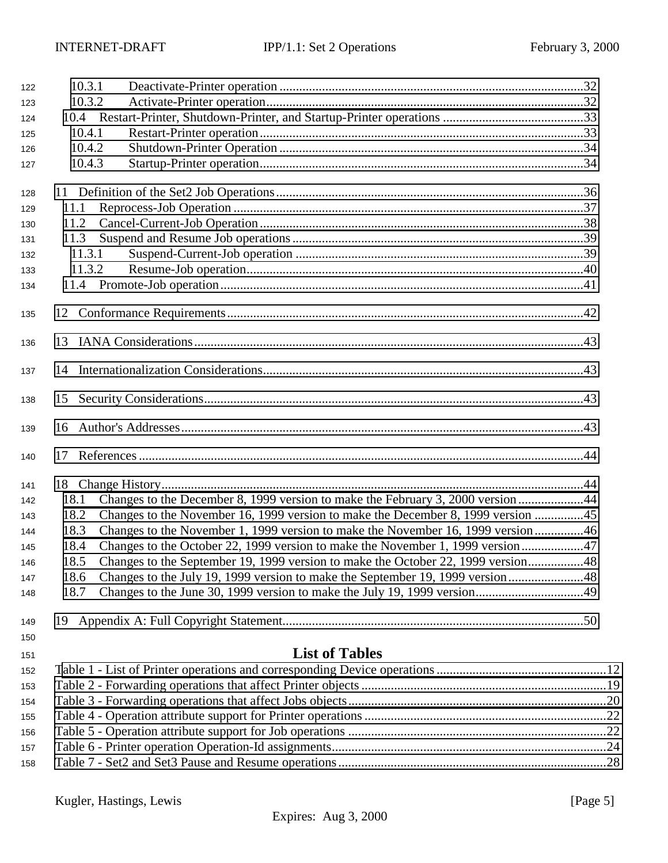| 122 | 10.3.1 |                                                                                  |  |  |  |
|-----|--------|----------------------------------------------------------------------------------|--|--|--|
| 123 | 10.3.2 |                                                                                  |  |  |  |
| 124 |        |                                                                                  |  |  |  |
| 125 | 10.4.1 |                                                                                  |  |  |  |
| 126 | 10.4.2 |                                                                                  |  |  |  |
| 127 | 10.4.3 |                                                                                  |  |  |  |
| 128 |        |                                                                                  |  |  |  |
| 129 | 11.1   |                                                                                  |  |  |  |
| 130 | 11.2   |                                                                                  |  |  |  |
| 131 | 11.3   |                                                                                  |  |  |  |
| 132 | 11.3.1 |                                                                                  |  |  |  |
| 133 | 11.3.2 |                                                                                  |  |  |  |
| 134 |        |                                                                                  |  |  |  |
|     |        |                                                                                  |  |  |  |
| 135 |        |                                                                                  |  |  |  |
| 136 |        |                                                                                  |  |  |  |
| 137 |        |                                                                                  |  |  |  |
| 138 | 15     |                                                                                  |  |  |  |
| 139 |        |                                                                                  |  |  |  |
|     |        |                                                                                  |  |  |  |
| 140 | 17     |                                                                                  |  |  |  |
| 141 |        |                                                                                  |  |  |  |
| 142 | 18.1   | Changes to the December 8, 1999 version to make the February 3, 2000 version 44  |  |  |  |
| 143 | 18.2   | Changes to the November 16, 1999 version to make the December 8, 1999 version 45 |  |  |  |
| 144 | 18.3   | Changes to the November 1, 1999 version to make the November 16, 1999 version46  |  |  |  |
| 145 | 18.4   | Changes to the October 22, 1999 version to make the November 1, 1999 version47   |  |  |  |
| 146 | 18.5   | Changes to the September 19, 1999 version to make the October 22, 1999 version48 |  |  |  |
| 147 | 18.6   | Changes to the July 19, 1999 version to make the September 19, 1999 version48    |  |  |  |
| 148 | 18.7   | Changes to the June 30, 1999 version to make the July 19, 1999 version49         |  |  |  |
| 149 |        |                                                                                  |  |  |  |
| 150 |        |                                                                                  |  |  |  |
| 151 |        | <b>List of Tables</b>                                                            |  |  |  |
| 152 |        |                                                                                  |  |  |  |
| 153 |        |                                                                                  |  |  |  |
| 154 |        |                                                                                  |  |  |  |
| 155 |        |                                                                                  |  |  |  |
| 156 |        |                                                                                  |  |  |  |
| 157 |        |                                                                                  |  |  |  |
| 158 |        |                                                                                  |  |  |  |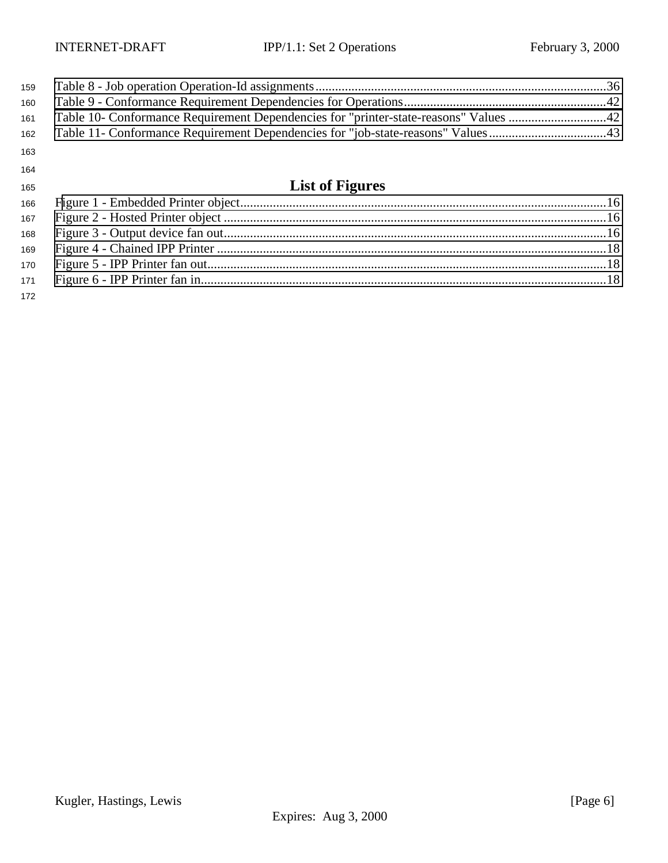| 159 |                                                                                      |  |
|-----|--------------------------------------------------------------------------------------|--|
| 160 |                                                                                      |  |
| 161 | Table 10- Conformance Requirement Dependencies for "printer-state-reasons" Values 42 |  |
| 162 | Table 11- Conformance Requirement Dependencies for "job-state-reasons" Values43      |  |
| 163 |                                                                                      |  |
| 164 |                                                                                      |  |
| 165 | <b>List of Figures</b>                                                               |  |
| 166 |                                                                                      |  |
| 167 |                                                                                      |  |
| 168 |                                                                                      |  |
| 169 |                                                                                      |  |
| 170 |                                                                                      |  |
| 171 |                                                                                      |  |
| 172 |                                                                                      |  |

Kugler, Hastings, Lewis [Page 6] Expires: Aug 3, 2000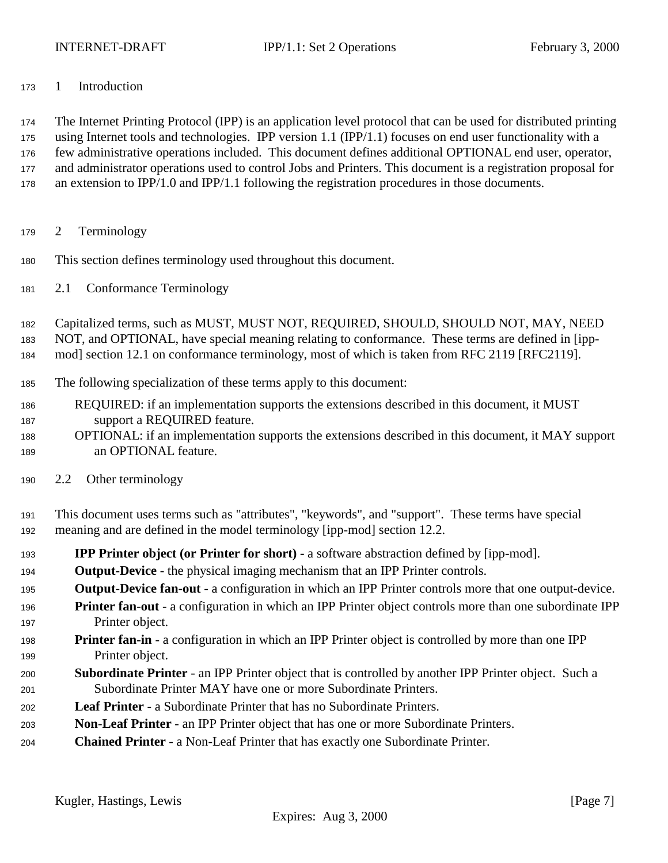<span id="page-6-0"></span>

1 Introduction

 The Internet Printing Protocol (IPP) is an application level protocol that can be used for distributed printing using Internet tools and technologies. IPP version 1.1 (IPP/1.1) focuses on end user functionality with a few administrative operations included. This document defines additional OPTIONAL end user, operator, and administrator operations used to control Jobs and Printers. This document is a registration proposal for an extension to IPP/1.0 and IPP/1.1 following the registration procedures in those documents.

- 2 Terminology
- This section defines terminology used throughout this document.
- 2.1 Conformance Terminology

Capitalized terms, such as MUST, MUST NOT, REQUIRED, SHOULD, SHOULD NOT, MAY, NEED

NOT, and OPTIONAL, have special meaning relating to conformance. These terms are defined in [ipp-

- mod] section 12.1 on conformance terminology, most of which is taken from RFC 2119 [RFC2119].
- The following specialization of these terms apply to this document:
- REQUIRED: if an implementation supports the extensions described in this document, it MUST support a REQUIRED feature.
- OPTIONAL: if an implementation supports the extensions described in this document, it MAY support an OPTIONAL feature.
- 2.2 Other terminology
- This document uses terms such as "attributes", "keywords", and "support". These terms have special meaning and are defined in the model terminology [ipp-mod] section 12.2.
- **IPP Printer object (or Printer for short)** a software abstraction defined by [ipp-mod].
- **Output-Device**  the physical imaging mechanism that an IPP Printer controls.
- **Output**-**Device fan-out** a configuration in which an IPP Printer controls more that one output-device.
- **Printer fan**-**out**  a configuration in which an IPP Printer object controls more than one subordinate IPP Printer object.
- **Printer fan-in** a configuration in which an IPP Printer object is controlled by more than one IPP Printer object.
- **Subordinate Printer**  an IPP Printer object that is controlled by another IPP Printer object. Such a Subordinate Printer MAY have one or more Subordinate Printers.
- **Leaf Printer**  a Subordinate Printer that has no Subordinate Printers.
- **Non**-**Leaf Printer** an IPP Printer object that has one or more Subordinate Printers.
- **Chained Printer**  a Non-Leaf Printer that has exactly one Subordinate Printer.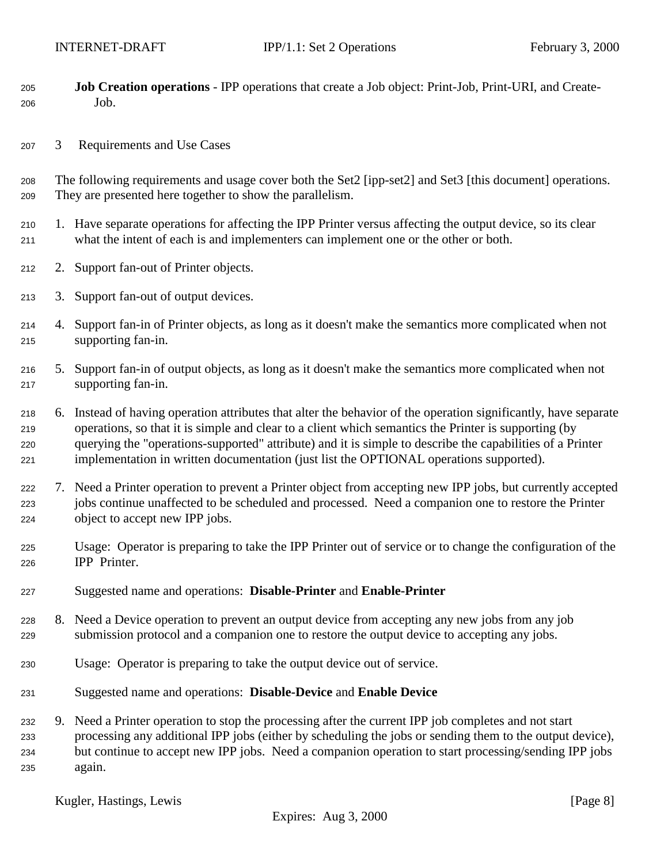- <span id="page-7-0"></span> **Job Creation operations** - IPP operations that create a Job object: Print-Job, Print-URI, and Create-Job.
- 3 Requirements and Use Cases
- The following requirements and usage cover both the Set2 [ipp-set2] and Set3 [this document] operations. They are presented here together to show the parallelism.
- 1. Have separate operations for affecting the IPP Printer versus affecting the output device, so its clear what the intent of each is and implementers can implement one or the other or both.
- 2. Support fan-out of Printer objects.
- 3. Support fan-out of output devices.
- 4. Support fan-in of Printer objects, as long as it doesn't make the semantics more complicated when not supporting fan-in.
- 5. Support fan-in of output objects, as long as it doesn't make the semantics more complicated when not supporting fan-in.
- 6. Instead of having operation attributes that alter the behavior of the operation significantly, have separate operations, so that it is simple and clear to a client which semantics the Printer is supporting (by querying the "operations-supported" attribute) and it is simple to describe the capabilities of a Printer implementation in written documentation (just list the OPTIONAL operations supported).
- 7. Need a Printer operation to prevent a Printer object from accepting new IPP jobs, but currently accepted jobs continue unaffected to be scheduled and processed. Need a companion one to restore the Printer object to accept new IPP jobs.
- Usage: Operator is preparing to take the IPP Printer out of service or to change the configuration of the IPP Printer.
- Suggested name and operations: **Disable-Printer** and **Enable-Printer**
- 8. Need a Device operation to prevent an output device from accepting any new jobs from any job submission protocol and a companion one to restore the output device to accepting any jobs.
- Usage: Operator is preparing to take the output device out of service.
- Suggested name and operations: **Disable-Device** and **Enable Device**
- 9. Need a Printer operation to stop the processing after the current IPP job completes and not start processing any additional IPP jobs (either by scheduling the jobs or sending them to the output device), but continue to accept new IPP jobs. Need a companion operation to start processing/sending IPP jobs again.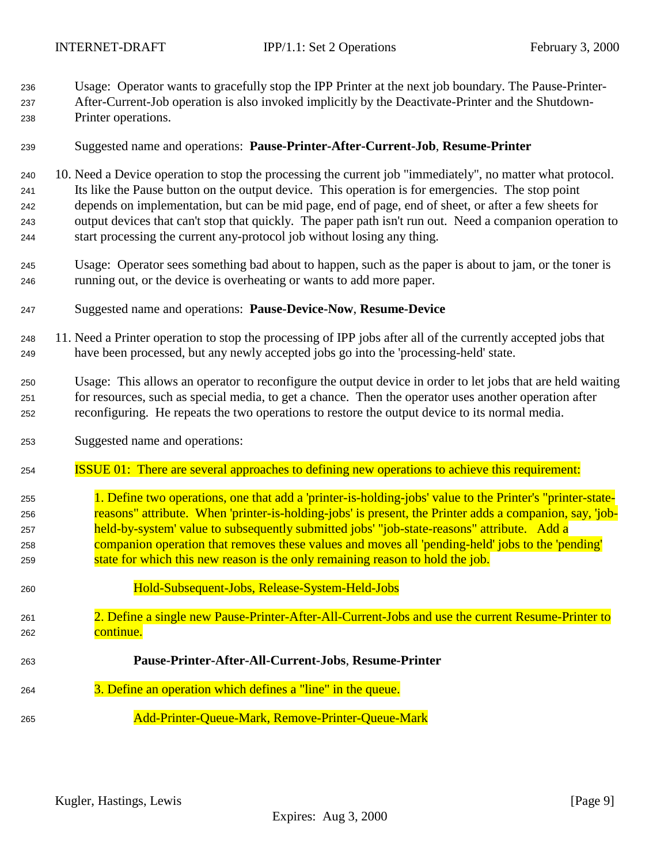Usage: Operator wants to gracefully stop the IPP Printer at the next job boundary. The Pause-Printer-After-Current-Job operation is also invoked implicitly by the Deactivate-Printer and the Shutdown-

- Printer operations.
- Suggested name and operations: **Pause-Printer-After-Current-Job**, **Resume-Printer**
- 10. Need a Device operation to stop the processing the current job "immediately", no matter what protocol. Its like the Pause button on the output device. This operation is for emergencies. The stop point depends on implementation, but can be mid page, end of page, end of sheet, or after a few sheets for output devices that can't stop that quickly. The paper path isn't run out. Need a companion operation to start processing the current any-protocol job without losing any thing.
- Usage: Operator sees something bad about to happen, such as the paper is about to jam, or the toner is running out, or the device is overheating or wants to add more paper.
- Suggested name and operations: **Pause-Device-Now**, **Resume-Device**
- 11. Need a Printer operation to stop the processing of IPP jobs after all of the currently accepted jobs that have been processed, but any newly accepted jobs go into the 'processing-held' state.
- Usage: This allows an operator to reconfigure the output device in order to let jobs that are held waiting for resources, such as special media, to get a chance. Then the operator uses another operation after reconfiguring. He repeats the two operations to restore the output device to its normal media.
- Suggested name and operations:
- ISSUE 01: There are several approaches to defining new operations to achieve this requirement:
- 1. Define two operations, one that add a 'printer-is-holding-jobs' value to the Printer's "printer-state- reasons" attribute. When 'printer-is-holding-jobs' is present, the Printer adds a companion, say, 'job- held-by-system' value to subsequently submitted jobs' "job-state-reasons" attribute. Add a companion operation that removes these values and moves all 'pending-held' jobs to the 'pending' state for which this new reason is the only remaining reason to hold the job.
- Hold-Subsequent-Jobs, Release-System-Held-Jobs 2. Define a single new Pause-Printer-After-All-Current-Jobs and use the current Resume-Printer to 262 continue.
- **Pause-Printer-After-All-Current-Jobs**, **Resume-Printer** 3. Define an operation which defines a "line" in the queue. Add-Printer-Queue-Mark, Remove-Printer-Queue-Mark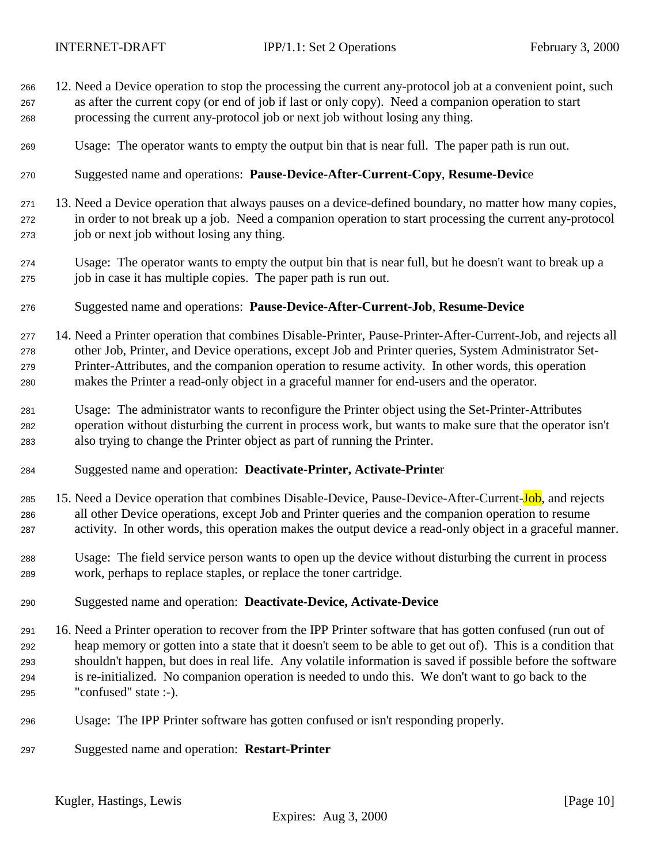- 12. Need a Device operation to stop the processing the current any-protocol job at a convenient point, such as after the current copy (or end of job if last or only copy). Need a companion operation to start processing the current any-protocol job or next job without losing any thing.
- Usage: The operator wants to empty the output bin that is near full. The paper path is run out.
- Suggested name and operations: **Pause-Device-After-Current-Copy**, **Resume-Devic**e
- 13. Need a Device operation that always pauses on a device-defined boundary, no matter how many copies, in order to not break up a job. Need a companion operation to start processing the current any-protocol job or next job without losing any thing.
- Usage: The operator wants to empty the output bin that is near full, but he doesn't want to break up a job in case it has multiple copies. The paper path is run out.
- Suggested name and operations: **Pause-Device-After-Current-Job**, **Resume-Device**
- 14. Need a Printer operation that combines Disable-Printer, Pause-Printer-After-Current-Job, and rejects all other Job, Printer, and Device operations, except Job and Printer queries, System Administrator Set- Printer-Attributes, and the companion operation to resume activity. In other words, this operation makes the Printer a read-only object in a graceful manner for end-users and the operator.
- Usage: The administrator wants to reconfigure the Printer object using the Set-Printer-Attributes operation without disturbing the current in process work, but wants to make sure that the operator isn't also trying to change the Printer object as part of running the Printer.
- Suggested name and operation: **Deactivate-Printer, Activate-Printe**r
- 285 15. Need a Device operation that combines Disable-Device, Pause-Device-After-Current-Job, and rejects all other Device operations, except Job and Printer queries and the companion operation to resume activity. In other words, this operation makes the output device a read-only object in a graceful manner.
- Usage: The field service person wants to open up the device without disturbing the current in process work, perhaps to replace staples, or replace the toner cartridge.
- Suggested name and operation: **Deactivate-Device, Activate-Device**
- 16. Need a Printer operation to recover from the IPP Printer software that has gotten confused (run out of heap memory or gotten into a state that it doesn't seem to be able to get out of). This is a condition that shouldn't happen, but does in real life. Any volatile information is saved if possible before the software is re-initialized. No companion operation is needed to undo this. We don't want to go back to the "confused" state :-).
- Usage: The IPP Printer software has gotten confused or isn't responding properly.
- Suggested name and operation: **Restart-Printer**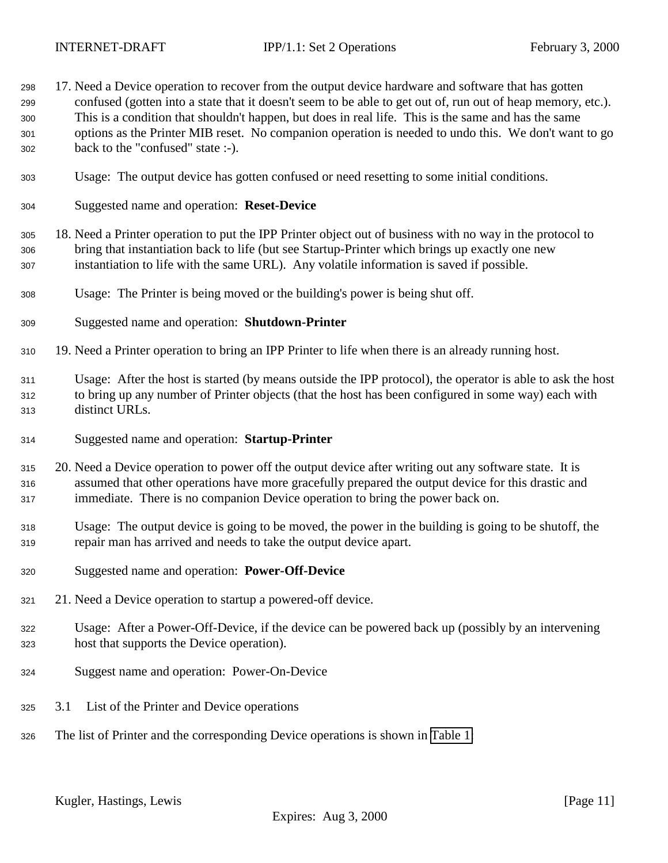<span id="page-10-0"></span>

| 298<br>299<br>300<br>301<br>302 | 17. Need a Device operation to recover from the output device hardware and software that has gotten<br>confused (gotten into a state that it doesn't seem to be able to get out of, run out of heap memory, etc.).<br>This is a condition that shouldn't happen, but does in real life. This is the same and has the same<br>options as the Printer MIB reset. No companion operation is needed to undo this. We don't want to go<br>back to the "confused" state :-). |
|---------------------------------|------------------------------------------------------------------------------------------------------------------------------------------------------------------------------------------------------------------------------------------------------------------------------------------------------------------------------------------------------------------------------------------------------------------------------------------------------------------------|
| 303                             | Usage: The output device has gotten confused or need resetting to some initial conditions.                                                                                                                                                                                                                                                                                                                                                                             |
| 304                             | Suggested name and operation: Reset-Device                                                                                                                                                                                                                                                                                                                                                                                                                             |
| 305<br>306<br>307               | 18. Need a Printer operation to put the IPP Printer object out of business with no way in the protocol to<br>bring that instantiation back to life (but see Startup-Printer which brings up exactly one new<br>instantiation to life with the same URL). Any volatile information is saved if possible.                                                                                                                                                                |
| 308                             | Usage: The Printer is being moved or the building's power is being shut off.                                                                                                                                                                                                                                                                                                                                                                                           |
| 309                             | Suggested name and operation: Shutdown-Printer                                                                                                                                                                                                                                                                                                                                                                                                                         |
| 310                             | 19. Need a Printer operation to bring an IPP Printer to life when there is an already running host.                                                                                                                                                                                                                                                                                                                                                                    |
| 311<br>312<br>313               | Usage: After the host is started (by means outside the IPP protocol), the operator is able to ask the host<br>to bring up any number of Printer objects (that the host has been configured in some way) each with<br>distinct URLs.                                                                                                                                                                                                                                    |
| 314                             | Suggested name and operation: Startup-Printer                                                                                                                                                                                                                                                                                                                                                                                                                          |
| 315<br>316<br>317               | 20. Need a Device operation to power off the output device after writing out any software state. It is<br>assumed that other operations have more gracefully prepared the output device for this drastic and<br>immediate. There is no companion Device operation to bring the power back on.                                                                                                                                                                          |
| 318<br>319                      | Usage: The output device is going to be moved, the power in the building is going to be shutoff, the<br>repair man has arrived and needs to take the output device apart.                                                                                                                                                                                                                                                                                              |
| 320                             | Suggested name and operation: Power-Off-Device                                                                                                                                                                                                                                                                                                                                                                                                                         |
| 321                             | 21. Need a Device operation to startup a powered-off device.                                                                                                                                                                                                                                                                                                                                                                                                           |
| 322<br>323                      | Usage: After a Power-Off-Device, if the device can be powered back up (possibly by an intervening<br>host that supports the Device operation).                                                                                                                                                                                                                                                                                                                         |
| 324                             | Suggest name and operation: Power-On-Device                                                                                                                                                                                                                                                                                                                                                                                                                            |
| 325                             | List of the Printer and Device operations<br>3.1                                                                                                                                                                                                                                                                                                                                                                                                                       |
| 326                             | The list of Printer and the corresponding Device operations is shown in Table 1:                                                                                                                                                                                                                                                                                                                                                                                       |
|                                 |                                                                                                                                                                                                                                                                                                                                                                                                                                                                        |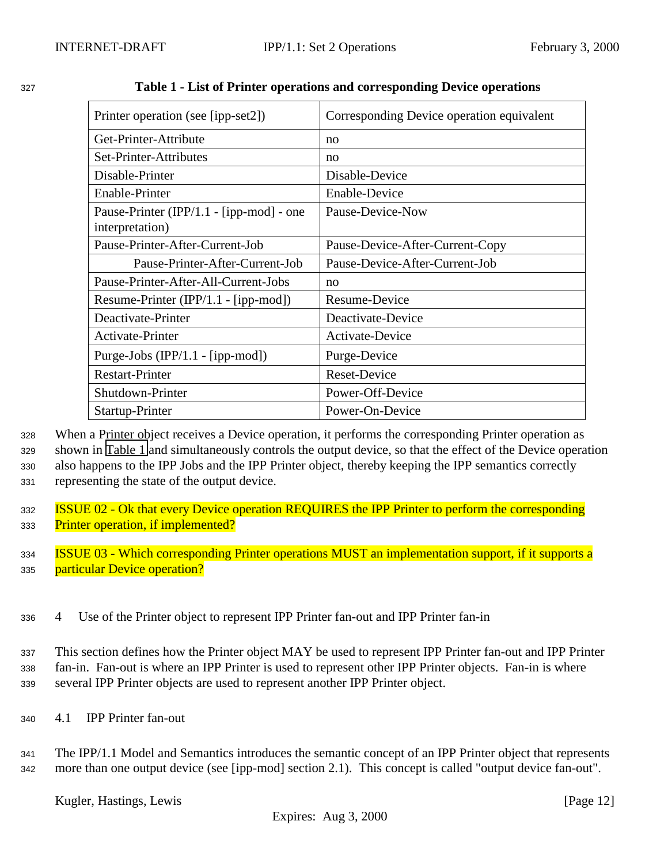| Printer operation (see [ipp-set2])                          | Corresponding Device operation equivalent |  |  |
|-------------------------------------------------------------|-------------------------------------------|--|--|
| Get-Printer-Attribute                                       | no                                        |  |  |
| Set-Printer-Attributes                                      | no                                        |  |  |
| Disable-Printer                                             | Disable-Device                            |  |  |
| Enable-Printer                                              | <b>Enable-Device</b>                      |  |  |
| Pause-Printer (IPP/1.1 - [ipp-mod] - one<br>interpretation) | Pause-Device-Now                          |  |  |
| Pause-Printer-After-Current-Job                             | Pause-Device-After-Current-Copy           |  |  |
| Pause-Printer-After-Current-Job                             | Pause-Device-After-Current-Job            |  |  |
| Pause-Printer-After-All-Current-Jobs                        | n <sub>O</sub>                            |  |  |
| Resume-Printer (IPP/1.1 - [ipp-mod])                        | Resume-Device                             |  |  |
| Deactivate-Printer                                          | Deactivate-Device                         |  |  |
| Activate-Printer                                            | Activate-Device                           |  |  |
| Purge-Jobs $(IPP/1.1 - [ipp-mod])$                          | Purge-Device                              |  |  |
| <b>Restart-Printer</b>                                      | <b>Reset-Device</b>                       |  |  |
| Shutdown-Printer                                            | Power-Off-Device                          |  |  |
| Startup-Printer                                             | Power-On-Device                           |  |  |

<span id="page-11-0"></span><sup>327</sup> **Table 1 - List of Printer operations and corresponding Device operations**

 When a Printer object receives a Device operation, it performs the corresponding Printer operation as shown in Table 1 and simultaneously controls the output device, so that the effect of the Device operation also happens to the IPP Jobs and the IPP Printer object, thereby keeping the IPP semantics correctly representing the state of the output device.

- 332 **ISSUE 02 Ok that every Device operation REQUIRES the IPP Printer to perform the corresponding** 333 Printer operation, if implemented?
- <sup>334</sup> ISSUE 03 Which corresponding Printer operations MUST an implementation support, if it supports a 335 particular Device operation?
- <sup>336</sup> 4 Use of the Printer object to represent IPP Printer fan-out and IPP Printer fan-in

<sup>337</sup> This section defines how the Printer object MAY be used to represent IPP Printer fan-out and IPP Printer <sup>338</sup> fan-in. Fan-out is where an IPP Printer is used to represent other IPP Printer objects. Fan-in is where <sup>339</sup> several IPP Printer objects are used to represent another IPP Printer object.

- <sup>340</sup> 4.1 IPP Printer fan-out
- <sup>341</sup> The IPP/1.1 Model and Semantics introduces the semantic concept of an IPP Printer object that represents <sup>342</sup> more than one output device (see [ipp-mod] section 2.1). This concept is called "output device fan-out".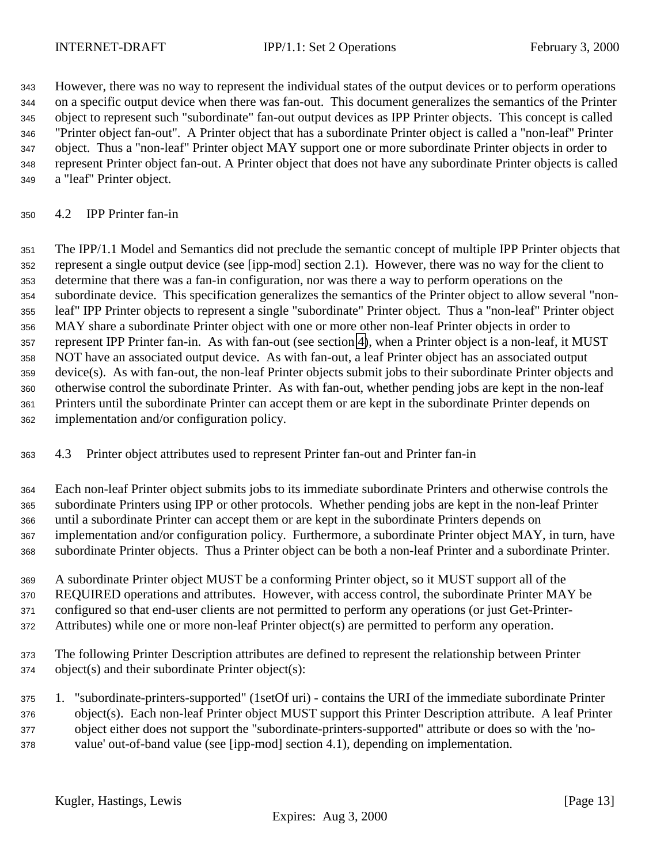<span id="page-12-0"></span> However, there was no way to represent the individual states of the output devices or to perform operations on a specific output device when there was fan-out. This document generalizes the semantics of the Printer object to represent such "subordinate" fan-out output devices as IPP Printer objects. This concept is called "Printer object fan-out". A Printer object that has a subordinate Printer object is called a "non-leaf" Printer object. Thus a "non-leaf" Printer object MAY support one or more subordinate Printer objects in order to represent Printer object fan-out. A Printer object that does not have any subordinate Printer objects is called a "leaf" Printer object.

#### 4.2 IPP Printer fan-in

 The IPP/1.1 Model and Semantics did not preclude the semantic concept of multiple IPP Printer objects that represent a single output device (see [ipp-mod] section 2.1). However, there was no way for the client to determine that there was a fan-in configuration, nor was there a way to perform operations on the subordinate device. This specification generalizes the semantics of the Printer object to allow several "non- leaf" IPP Printer objects to represent a single "subordinate" Printer object. Thus a "non-leaf" Printer object MAY share a subordinate Printer object with one or more other non-leaf Printer objects in order to represent IPP Printer fan-in. As with fan-out (see section [4\)](#page-11-0), when a Printer object is a non-leaf, it MUST NOT have an associated output device. As with fan-out, a leaf Printer object has an associated output device(s). As with fan-out, the non-leaf Printer objects submit jobs to their subordinate Printer objects and otherwise control the subordinate Printer. As with fan-out, whether pending jobs are kept in the non-leaf Printers until the subordinate Printer can accept them or are kept in the subordinate Printer depends on implementation and/or configuration policy.

### 4.3 Printer object attributes used to represent Printer fan-out and Printer fan-in

 Each non-leaf Printer object submits jobs to its immediate subordinate Printers and otherwise controls the subordinate Printers using IPP or other protocols. Whether pending jobs are kept in the non-leaf Printer until a subordinate Printer can accept them or are kept in the subordinate Printers depends on implementation and/or configuration policy. Furthermore, a subordinate Printer object MAY, in turn, have subordinate Printer objects. Thus a Printer object can be both a non-leaf Printer and a subordinate Printer.

- A subordinate Printer object MUST be a conforming Printer object, so it MUST support all of the REQUIRED operations and attributes. However, with access control, the subordinate Printer MAY be configured so that end-user clients are not permitted to perform any operations (or just Get-Printer-
- Attributes) while one or more non-leaf Printer object(s) are permitted to perform any operation.
- The following Printer Description attributes are defined to represent the relationship between Printer object(s) and their subordinate Printer object(s):
- 1. "subordinate-printers-supported" (1setOf uri) contains the URI of the immediate subordinate Printer object(s). Each non-leaf Printer object MUST support this Printer Description attribute. A leaf Printer object either does not support the "subordinate-printers-supported" attribute or does so with the 'no-value' out-of-band value (see [ipp-mod] section 4.1), depending on implementation.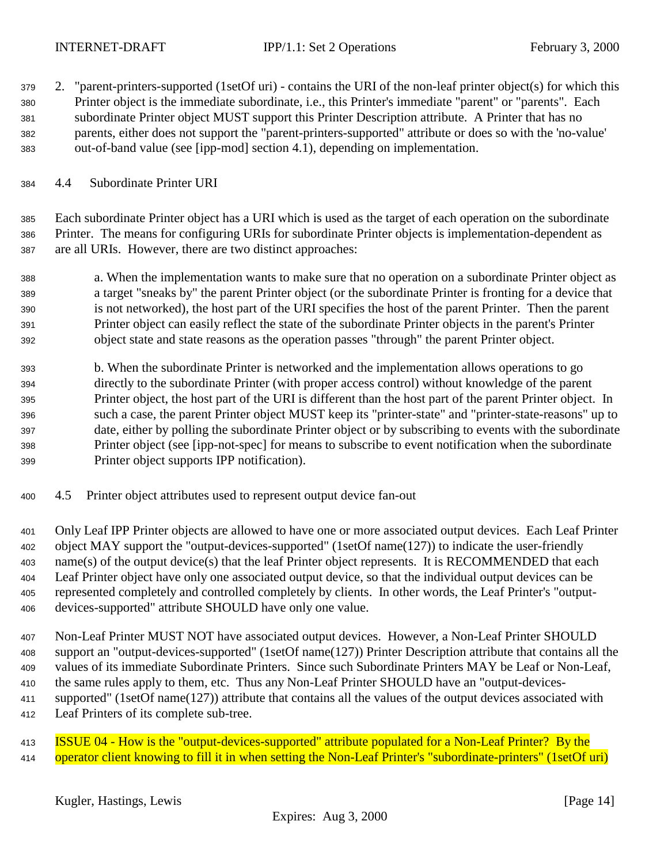<span id="page-13-0"></span>

- 2. "parent-printers-supported (1setOf uri) contains the URI of the non-leaf printer object(s) for which this Printer object is the immediate subordinate, i.e., this Printer's immediate "parent" or "parents". Each subordinate Printer object MUST support this Printer Description attribute. A Printer that has no parents, either does not support the "parent-printers-supported" attribute or does so with the 'no-value' out-of-band value (see [ipp-mod] section 4.1), depending on implementation.
- 4.4 Subordinate Printer URI

 Each subordinate Printer object has a URI which is used as the target of each operation on the subordinate Printer. The means for configuring URIs for subordinate Printer objects is implementation-dependent as are all URIs. However, there are two distinct approaches:

- a. When the implementation wants to make sure that no operation on a subordinate Printer object as a target "sneaks by" the parent Printer object (or the subordinate Printer is fronting for a device that is not networked), the host part of the URI specifies the host of the parent Printer. Then the parent Printer object can easily reflect the state of the subordinate Printer objects in the parent's Printer object state and state reasons as the operation passes "through" the parent Printer object.
- b. When the subordinate Printer is networked and the implementation allows operations to go directly to the subordinate Printer (with proper access control) without knowledge of the parent Printer object, the host part of the URI is different than the host part of the parent Printer object. In such a case, the parent Printer object MUST keep its "printer-state" and "printer-state-reasons" up to date, either by polling the subordinate Printer object or by subscribing to events with the subordinate Printer object (see [ipp-not-spec] for means to subscribe to event notification when the subordinate Printer object supports IPP notification).
- 4.5 Printer object attributes used to represent output device fan-out

 Only Leaf IPP Printer objects are allowed to have one or more associated output devices. Each Leaf Printer object MAY support the "output-devices-supported" (1setOf name(127)) to indicate the user-friendly name(s) of the output device(s) that the leaf Printer object represents. It is RECOMMENDED that each Leaf Printer object have only one associated output device, so that the individual output devices can be represented completely and controlled completely by clients. In other words, the Leaf Printer's "output-devices-supported" attribute SHOULD have only one value.

 Non-Leaf Printer MUST NOT have associated output devices. However, a Non-Leaf Printer SHOULD support an "output-devices-supported" (1setOf name(127)) Printer Description attribute that contains all the values of its immediate Subordinate Printers. Since such Subordinate Printers MAY be Leaf or Non-Leaf, the same rules apply to them, etc. Thus any Non-Leaf Printer SHOULD have an "output-devices- supported" (1setOf name(127)) attribute that contains all the values of the output devices associated with Leaf Printers of its complete sub-tree.

**ISSUE 04 - How is the "output-devices-supported" attribute populated for a Non-Leaf Printer?** By the 414 operator client knowing to fill it in when setting the Non-Leaf Printer's "subordinate-printers" (1setOf uri)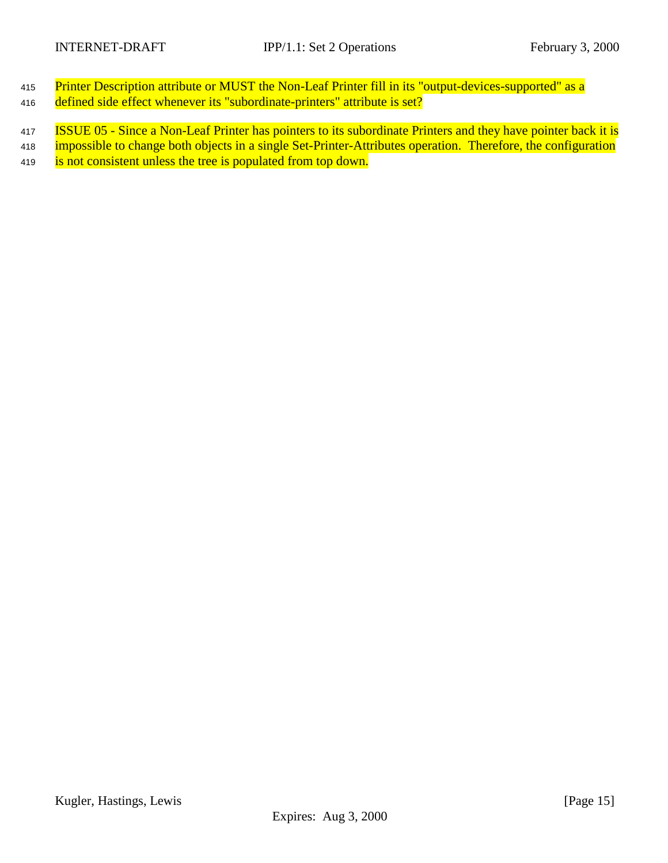- 415 Printer Description attribute or MUST the Non-Leaf Printer fill in its "output-devices-supported" as a 416 defined side effect whenever its "subordinate-printers" attribute is set?
- 417 **ISSUE 05 Since a Non-Leaf Printer has pointers to its subordinate Printers and they have pointer back it is**
- 418 impossible to change both objects in a single Set-Printer-Attributes operation. Therefore, the configuration
- 419 is not consistent unless the tree is populated from top down.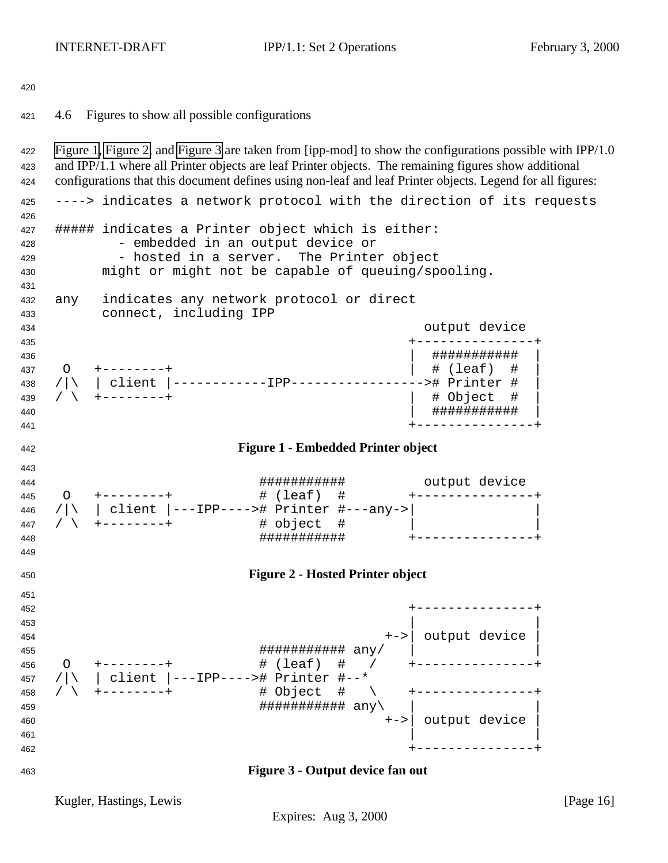<span id="page-15-0"></span> 4.6 Figures to show all possible configurations Figure 1, Figure 2, and Figure 3 are taken from [ipp-mod] to show the configurations possible with IPP/1.0 and IPP/1.1 where all Printer objects are leaf Printer objects. The remaining figures show additional configurations that this document defines using non-leaf and leaf Printer objects. Legend for all figures: ----> indicates a network protocol with the direction of its requests ##### indicates a Printer object which is either: - embedded in an output device or 429 - hosted in a server. The Printer object might or might not be capable of queuing/spooling. any indicates any network protocol or direct connect, including IPP output device +---------------+ | ########### | O +--------+ | # (leaf) # | /|\ | client |------------IPP-----------------># Printer # | / \ +--------+ | # Object # | | ########### | +---------------+ **Figure 1 - Embedded Printer object** ########### output device O +--------+ # (leaf) # +---------------+ /|\ | client |---IPP----># Printer #---any->| | / \ +--------+ # object # | | ########### +---------------+ **Figure 2 - Hosted Printer object** +---------------+  $\vert$  453  $\vert$  +->| output device | ########### any/ | | O +--------+ # (leaf) # / +---------------+ /|\ | client |---IPP----># Printer #--\* / \ +--------+ # Object # \ +---------------+ ########### any\ | | +->| output device | +---------------+ **Figure 3 - Output device fan out**

Kugler, Hastings, Lewis [Page 16] [Page 16]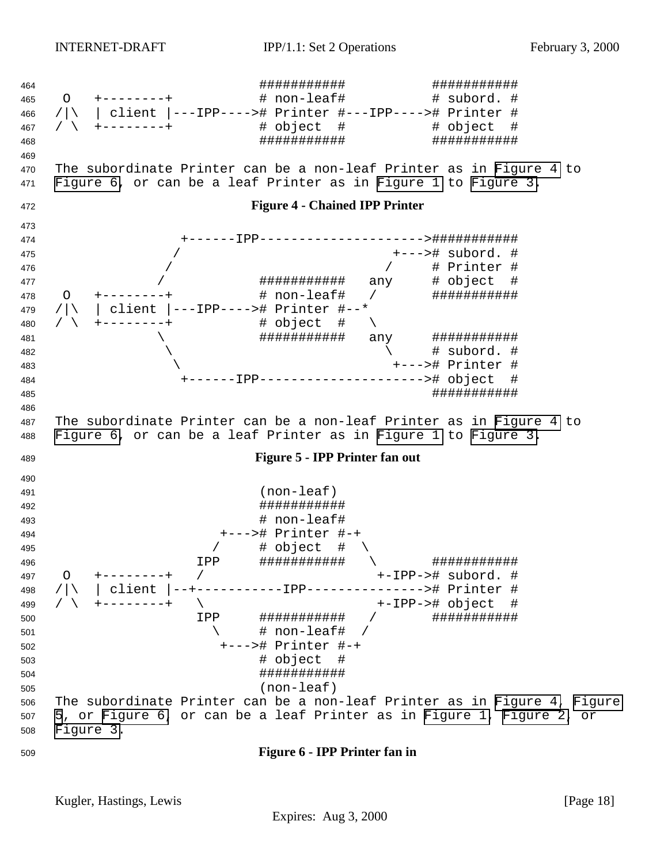<span id="page-17-0"></span> ########### ########### O +--------+ # non-leaf# # subord. # /|\ | client |---IPP----># Printer #---IPP----># Printer # / \ +--------+ # object # # object # ########### ########### The subordinate Printer can be a non-leaf Printer as in Figure 4 to Figure 6, or can be a leaf Printer as in [Figure 1](#page-15-0) to [Figure 3.](#page-15-0) **Figure 4 - Chained IPP Printer** +------IPP--------------------->########### / +---># subord. # / / # Printer # / ########### any # object # 478 O +--------+ # non-leaf# / ############# /|\ | client |---IPP----># Printer #--\* / \ +--------+ # object # \ \ ########### any ###########  $\qquad \qquad \backslash$  \ +---># Printer # +------IPP---------------------># object # ########### The subordinate Printer can be a non-leaf Printer as in Figure 4 to Figure 6, or can be a leaf Printer as in [Figure 1](#page-15-0) to [Figure 3.](#page-15-0) **Figure 5 - IPP Printer fan out** (non-leaf) ########### # non-leaf# +---># Printer #-+ 495 / # object #  $\setminus$  IPP ########### \ ########### O +--------+ / +-IPP-># subord. # /|\ | client |--+-----------IPP---------------># Printer # / \ +--------+ \ +-IPP-># object # IPP ########### / ###########  $\uparrow$   $\uparrow$   $\uparrow$   $\uparrow$   $\uparrow$   $\uparrow$   $\uparrow$   $\uparrow$   $\uparrow$   $\uparrow$   $\uparrow$   $\uparrow$   $\uparrow$   $\uparrow$   $\uparrow$   $\uparrow$   $\uparrow$   $\uparrow$   $\uparrow$   $\uparrow$   $\uparrow$   $\uparrow$   $\uparrow$   $\uparrow$   $\uparrow$   $\uparrow$   $\uparrow$   $\uparrow$   $\uparrow$   $\uparrow$   $\uparrow$   $\uparrow$   $\uparrow$   $\uparrow$   $\uparrow$   $\uparrow$  +---># Printer #-+ # object # ########### (non-leaf) The subordinate Printer can be a non-leaf Printer as in Figure 4, Figure 5, or Figure 6, or can be a leaf Printer as in [Figure 1, Figure 2,](#page-15-0) or [Figure 3.](#page-15-0) **Figure 6 - IPP Printer fan in**

Kugler, Hastings, Lewis [Page 18] [Page 18]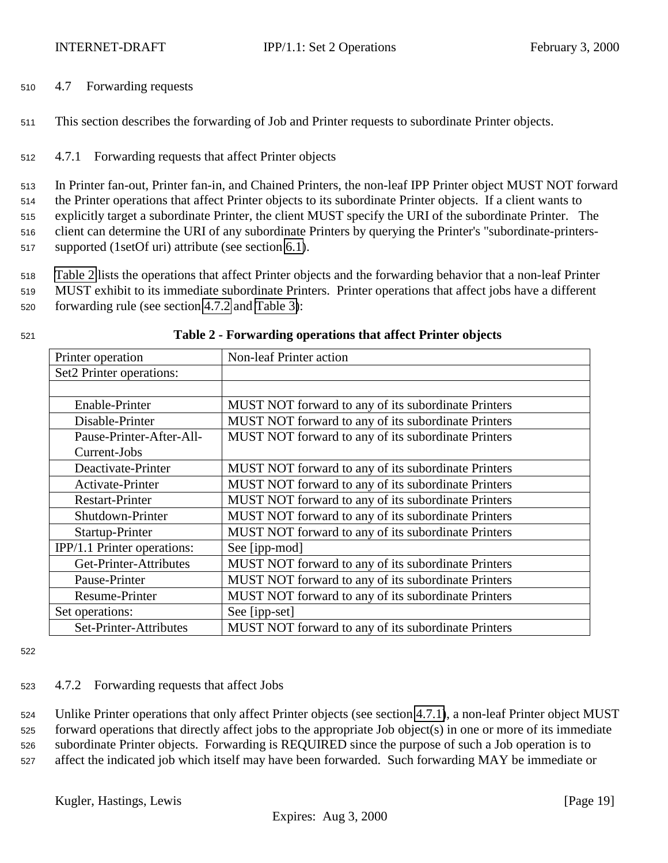<span id="page-18-0"></span><sup>510</sup> 4.7 Forwarding requests

<sup>511</sup> This section describes the forwarding of Job and Printer requests to subordinate Printer objects.

<sup>512</sup> 4.7.1 Forwarding requests that affect Printer objects

 In Printer fan-out, Printer fan-in, and Chained Printers, the non-leaf IPP Printer object MUST NOT forward the Printer operations that affect Printer objects to its subordinate Printer objects. If a client wants to explicitly target a subordinate Printer, the client MUST specify the URI of the subordinate Printer. The client can determine the URI of any subordinate Printers by querying the Printer's "subordinate-printers-supported (1setOf uri) attribute (see section [6.1\)](#page-22-0).

<sup>518</sup> Table 2 lists the operations that affect Printer objects and the forwarding behavior that a non-leaf Printer <sup>519</sup> MUST exhibit to its immediate subordinate Printers. Printer operations that affect jobs have a different

<sup>520</sup> forwarding rule (see section 4.7.2 and [Table 3\)](#page-19-0):

| Printer operation           | Non-leaf Printer action                             |
|-----------------------------|-----------------------------------------------------|
| Set2 Printer operations:    |                                                     |
|                             |                                                     |
| Enable-Printer              | MUST NOT forward to any of its subordinate Printers |
| Disable-Printer             | MUST NOT forward to any of its subordinate Printers |
| Pause-Printer-After-All-    | MUST NOT forward to any of its subordinate Printers |
| Current-Jobs                |                                                     |
| Deactivate-Printer          | MUST NOT forward to any of its subordinate Printers |
| Activate-Printer            | MUST NOT forward to any of its subordinate Printers |
| <b>Restart-Printer</b>      | MUST NOT forward to any of its subordinate Printers |
| Shutdown-Printer            | MUST NOT forward to any of its subordinate Printers |
| Startup-Printer             | MUST NOT forward to any of its subordinate Printers |
| IPP/1.1 Printer operations: | See [ipp-mod]                                       |
| Get-Printer-Attributes      | MUST NOT forward to any of its subordinate Printers |
| Pause-Printer               | MUST NOT forward to any of its subordinate Printers |
| Resume-Printer              | MUST NOT forward to any of its subordinate Printers |
| Set operations:             | See [ipp-set]                                       |
| Set-Printer-Attributes      | MUST NOT forward to any of its subordinate Printers |

#### <sup>521</sup> **Table 2 - Forwarding operations that affect Printer objects**

522

### <sup>523</sup> 4.7.2 Forwarding requests that affect Jobs

 Unlike Printer operations that only affect Printer objects (see section 4.7.1), a non-leaf Printer object MUST forward operations that directly affect jobs to the appropriate Job object(s) in one or more of its immediate subordinate Printer objects. Forwarding is REQUIRED since the purpose of such a Job operation is to affect the indicated job which itself may have been forwarded. Such forwarding MAY be immediate or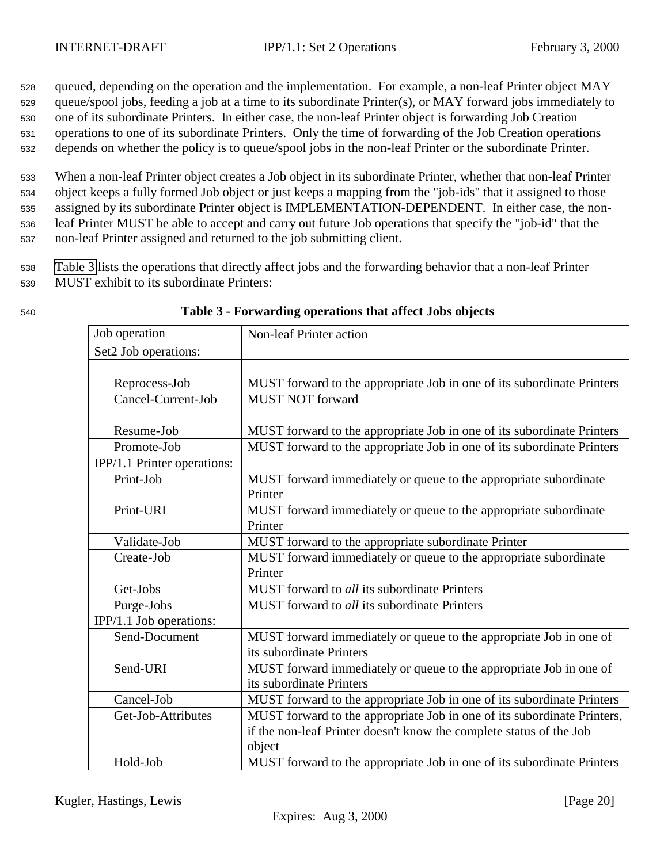<span id="page-19-0"></span> queued, depending on the operation and the implementation. For example, a non-leaf Printer object MAY queue/spool jobs, feeding a job at a time to its subordinate Printer(s), or MAY forward jobs immediately to one of its subordinate Printers. In either case, the non-leaf Printer object is forwarding Job Creation operations to one of its subordinate Printers. Only the time of forwarding of the Job Creation operations depends on whether the policy is to queue/spool jobs in the non-leaf Printer or the subordinate Printer.

 When a non-leaf Printer object creates a Job object in its subordinate Printer, whether that non-leaf Printer object keeps a fully formed Job object or just keeps a mapping from the "job-ids" that it assigned to those assigned by its subordinate Printer object is IMPLEMENTATION-DEPENDENT. In either case, the non- leaf Printer MUST be able to accept and carry out future Job operations that specify the "job-id" that the non-leaf Printer assigned and returned to the job submitting client.

<sup>538</sup> Table 3 lists the operations that directly affect jobs and the forwarding behavior that a non-leaf Printer <sup>539</sup> MUST exhibit to its subordinate Printers:

| I<br>×<br>۰.<br>×<br>۰. |  |
|-------------------------|--|
|                         |  |

| Job operation               | <b>Non-leaf Printer action</b>                                          |  |  |  |  |
|-----------------------------|-------------------------------------------------------------------------|--|--|--|--|
| Set2 Job operations:        |                                                                         |  |  |  |  |
|                             |                                                                         |  |  |  |  |
| Reprocess-Job               | MUST forward to the appropriate Job in one of its subordinate Printers  |  |  |  |  |
| Cancel-Current-Job          | <b>MUST NOT forward</b>                                                 |  |  |  |  |
|                             |                                                                         |  |  |  |  |
| Resume-Job                  | MUST forward to the appropriate Job in one of its subordinate Printers  |  |  |  |  |
| Promote-Job                 | MUST forward to the appropriate Job in one of its subordinate Printers  |  |  |  |  |
| IPP/1.1 Printer operations: |                                                                         |  |  |  |  |
| Print-Job                   | MUST forward immediately or queue to the appropriate subordinate        |  |  |  |  |
|                             | Printer                                                                 |  |  |  |  |
| Print-URI                   | MUST forward immediately or queue to the appropriate subordinate        |  |  |  |  |
|                             | Printer                                                                 |  |  |  |  |
| Validate-Job                | MUST forward to the appropriate subordinate Printer                     |  |  |  |  |
| Create-Job                  | MUST forward immediately or queue to the appropriate subordinate        |  |  |  |  |
|                             | Printer                                                                 |  |  |  |  |
| Get-Jobs                    | MUST forward to all its subordinate Printers                            |  |  |  |  |
| Purge-Jobs                  | <b>MUST</b> forward to <i>all</i> its subordinate Printers              |  |  |  |  |
| IPP/1.1 Job operations:     |                                                                         |  |  |  |  |
| Send-Document               | MUST forward immediately or queue to the appropriate Job in one of      |  |  |  |  |
|                             | its subordinate Printers                                                |  |  |  |  |
| Send-URI                    | MUST forward immediately or queue to the appropriate Job in one of      |  |  |  |  |
|                             | its subordinate Printers                                                |  |  |  |  |
| Cancel-Job                  | MUST forward to the appropriate Job in one of its subordinate Printers  |  |  |  |  |
| Get-Job-Attributes          | MUST forward to the appropriate Job in one of its subordinate Printers, |  |  |  |  |
|                             | if the non-leaf Printer doesn't know the complete status of the Job     |  |  |  |  |
|                             | object                                                                  |  |  |  |  |
| Hold-Job                    | MUST forward to the appropriate Job in one of its subordinate Printers  |  |  |  |  |

#### <sup>540</sup> **Table 3 - Forwarding operations that affect Jobs objects**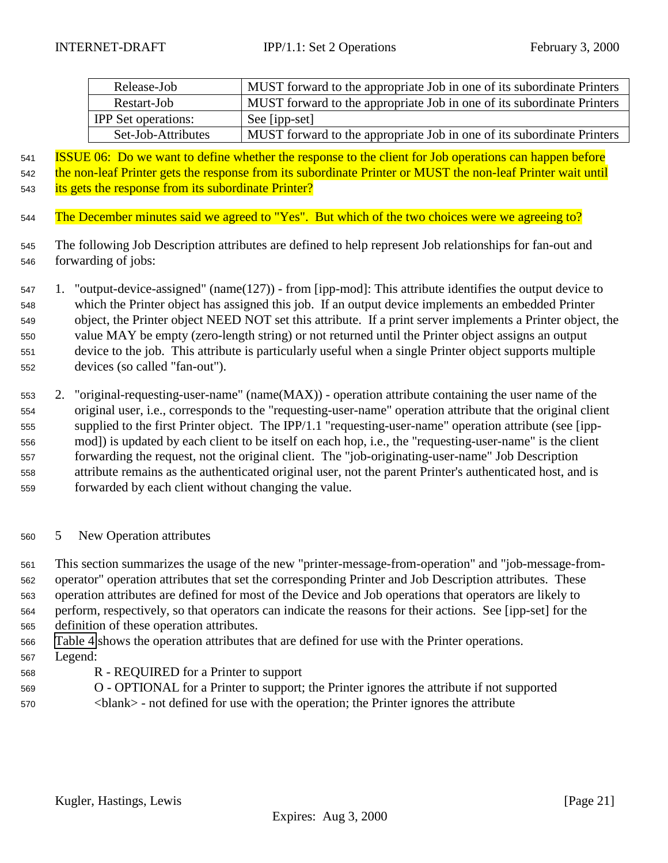<span id="page-20-0"></span>

| Release-Job                | MUST forward to the appropriate Job in one of its subordinate Printers |
|----------------------------|------------------------------------------------------------------------|
| Restart-Job                | MUST forward to the appropriate Job in one of its subordinate Printers |
| <b>IPP</b> Set operations: | See [ipp-set]                                                          |
| Set-Job-Attributes         | MUST forward to the appropriate Job in one of its subordinate Printers |

 ISSUE 06: Do we want to define whether the response to the client for Job operations can happen before 542 the non-leaf Printer gets the response from its subordinate Printer or MUST the non-leaf Printer wait until 543 its gets the response from its subordinate Printer?

- The December minutes said we agreed to "Yes". But which of the two choices were we agreeing to?
- The following Job Description attributes are defined to help represent Job relationships for fan-out and forwarding of jobs:

 1. "output-device-assigned" (name(127)) - from [ipp-mod]: This attribute identifies the output device to which the Printer object has assigned this job. If an output device implements an embedded Printer object, the Printer object NEED NOT set this attribute. If a print server implements a Printer object, the value MAY be empty (zero-length string) or not returned until the Printer object assigns an output device to the job. This attribute is particularly useful when a single Printer object supports multiple devices (so called "fan-out").

- 2. "original-requesting-user-name" (name(MAX)) operation attribute containing the user name of the original user, i.e., corresponds to the "requesting-user-name" operation attribute that the original client supplied to the first Printer object. The IPP/1.1 "requesting-user-name" operation attribute (see [ipp- mod]) is updated by each client to be itself on each hop, i.e., the "requesting-user-name" is the client forwarding the request, not the original client. The "job-originating-user-name" Job Description attribute remains as the authenticated original user, not the parent Printer's authenticated host, and is forwarded by each client without changing the value.
- 5 New Operation attributes

 This section summarizes the usage of the new "printer-message-from-operation" and "job-message-from- operator" operation attributes that set the corresponding Printer and Job Description attributes. These operation attributes are defined for most of the Device and Job operations that operators are likely to perform, respectively, so that operators can indicate the reasons for their actions. See [ipp-set] for the definition of these operation attributes.

[Table 4](#page-21-0) shows the operation attributes that are defined for use with the Printer operations.

- Legend:
- R REQUIRED for a Printer to support
- O OPTIONAL for a Printer to support; the Printer ignores the attribute if not supported
- <blank> not defined for use with the operation; the Printer ignores the attribute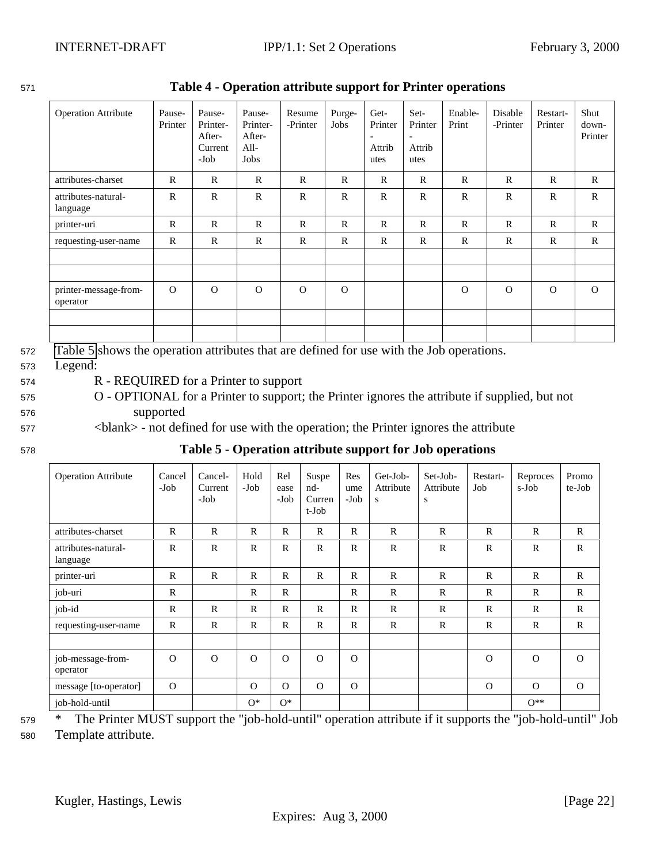| <b>Operation Attribute</b>        | Pause-<br>Printer | Pause-<br>Printer-<br>After-<br>Current<br>$-Job$ | Pause-<br>Printer-<br>After-<br>All-<br>Jobs | Resume<br>-Printer | Purge-<br>Jobs | Get-<br>Printer<br>$\overline{\phantom{a}}$<br>Attrib<br>utes | Set-<br>Printer<br>$\overline{a}$<br>Attrib<br>utes | Enable-<br>Print | Disable<br>-Printer | Restart-<br>Printer | Shut<br>down-<br>Printer |
|-----------------------------------|-------------------|---------------------------------------------------|----------------------------------------------|--------------------|----------------|---------------------------------------------------------------|-----------------------------------------------------|------------------|---------------------|---------------------|--------------------------|
| attributes-charset                | $\mathbb{R}$      | $\mathbb{R}$                                      | $\mathbb{R}$                                 | $\mathbf R$        | $\mathbb{R}$   | $\mathbb{R}$                                                  | $\mathbb{R}$                                        | $\mathbf R$      | $\mathbf R$         | $\mathbf R$         | $\mathbb{R}$             |
| attributes-natural-<br>language   | R                 | $\mathbb{R}$                                      | $\mathbb{R}$                                 | $\mathbb{R}$       | $\mathbb{R}$   | $\mathbb{R}$                                                  | $\mathbb{R}$                                        | $\mathbf R$      | $\mathbb{R}$        | $\mathbb{R}$        | $\mathbb{R}$             |
| printer-uri                       | $\mathbf R$       | $\mathbb{R}$                                      | $\mathbb{R}$                                 | $\mathbf R$        | $\mathbb{R}$   | $\mathbb{R}$                                                  | $\mathbb{R}$                                        | $\mathbf R$      | $\mathbf R$         | $\mathbf R$         | $\mathbb{R}$             |
| requesting-user-name              | $\mathbf R$       | $\mathbb{R}$                                      | $\mathbb{R}$                                 | $\mathbf R$        | $\mathbb{R}$   | $\mathbb{R}$                                                  | $\mathbb{R}$                                        | $\mathbb{R}$     | $\mathbf R$         | $\mathbb{R}$        | $\mathbb{R}$             |
|                                   |                   |                                                   |                                              |                    |                |                                                               |                                                     |                  |                     |                     |                          |
| printer-message-from-<br>operator | $\Omega$          | $\Omega$                                          | $\Omega$                                     | $\Omega$           | $\Omega$       |                                                               |                                                     | $\Omega$         | $\Omega$            | $\Omega$            | $\Omega$                 |
|                                   |                   |                                                   |                                              |                    |                |                                                               |                                                     |                  |                     |                     |                          |

<span id="page-21-0"></span><sup>571</sup> **Table 4 - Operation attribute support for Printer operations**

<sup>572</sup> Table 5 shows the operation attributes that are defined for use with the Job operations.

<sup>573</sup> Legend:

<sup>574</sup> R - REQUIRED for a Printer to support

- <sup>575</sup> O OPTIONAL for a Printer to support; the Printer ignores the attribute if supplied, but not <sup>576</sup> supported
- <sup>577</sup> <blank> not defined for use with the operation; the Printer ignores the attribute
- 

| 578 |  | Table 5 - Operation attribute support for Job operations |
|-----|--|----------------------------------------------------------|
|-----|--|----------------------------------------------------------|

| <b>Operation Attribute</b>      | Cancel<br>-Job | Cancel-<br>Current<br>-Job | Hold<br>-Job | Rel<br>ease<br>-Job | Suspe<br>nd-<br>Curren<br>t-Job | Res<br>ume<br>-Job | Get-Job-<br>Attribute<br>S | Set-Job-<br>Attribute<br>S | Restart-<br>Job | Reproces<br>s-Job | Promo<br>te-Job |
|---------------------------------|----------------|----------------------------|--------------|---------------------|---------------------------------|--------------------|----------------------------|----------------------------|-----------------|-------------------|-----------------|
| attributes-charset              | $\mathbb{R}$   | $\mathbb{R}$               | $\mathbb{R}$ | $\mathbb{R}$        | $\mathsf{R}$                    | $\mathbb{R}$       | $\mathbb{R}$               | $\mathbb{R}$               | $\mathbb{R}$    | $\mathbf R$       | $\mathbb{R}$    |
| attributes-natural-<br>language | $\mathbb{R}$   | $\mathbb{R}$               | $\mathbb{R}$ | $\mathbb{R}$        | $\mathbb{R}$                    | $\mathbf R$        | $\mathbf R$                | $\mathbb{R}$               | $\mathbb{R}$    | $\mathbb{R}$      | $\mathbb{R}$    |
| printer-uri                     | $\mathbb{R}$   | $\mathbf R$                | $\mathbb{R}$ | $\mathbb{R}$        | $\mathbb{R}$                    | $\mathbb{R}$       | $\mathbb{R}$               | $\mathbb{R}$               | $\mathbb{R}$    | $\mathbf R$       | $\mathbf{R}$    |
| job-uri                         | $\mathbb{R}$   |                            | $\mathbb{R}$ | $\mathbb{R}$        |                                 | $\mathbb{R}$       | $\mathbb{R}$               | $\mathbb{R}$               | $\mathbb{R}$    | $\mathbb{R}$      | $\mathbb{R}$    |
| job-id                          | $\mathbb{R}$   | R                          | $\mathbb{R}$ | $\mathbb{R}$        | $\mathsf{R}$                    | $\mathbb{R}$       | $\mathbb{R}$               | $\mathbb{R}$               | $\mathbb{R}$    | $\mathbb{R}$      | $\mathbf{R}$    |
| requesting-user-name            | $\mathbb{R}$   | $\mathbb{R}$               | $\mathbb{R}$ | $\mathbb{R}$        | $\mathbb{R}$                    | $\mathbb{R}$       | $\mathbb{R}$               | $\mathbb{R}$               | $\mathbb{R}$    | $\mathbb{R}$      | $\mathbb{R}$    |
|                                 |                |                            |              |                     |                                 |                    |                            |                            |                 |                   |                 |
| job-message-from-<br>operator   | $\Omega$       | $\Omega$                   | $\Omega$     | $\Omega$            | $\Omega$                        | $\Omega$           |                            |                            | $\Omega$        | $\Omega$          | $\Omega$        |
| message [to-operator]           | $\Omega$       |                            | $\Omega$     | $\Omega$            | $\Omega$                        | $\Omega$           |                            |                            | $\Omega$        | $\Omega$          | $\Omega$        |
| job-hold-until                  |                |                            | $O^*$        | $O^*$               |                                 |                    |                            |                            |                 | $0**$             |                 |

<sup>579</sup> \* The Printer MUST support the "job-hold-until" operation attribute if it supports the "job-hold-until" Job <sup>580</sup> Template attribute.

Kugler, Hastings, Lewis [Page 22]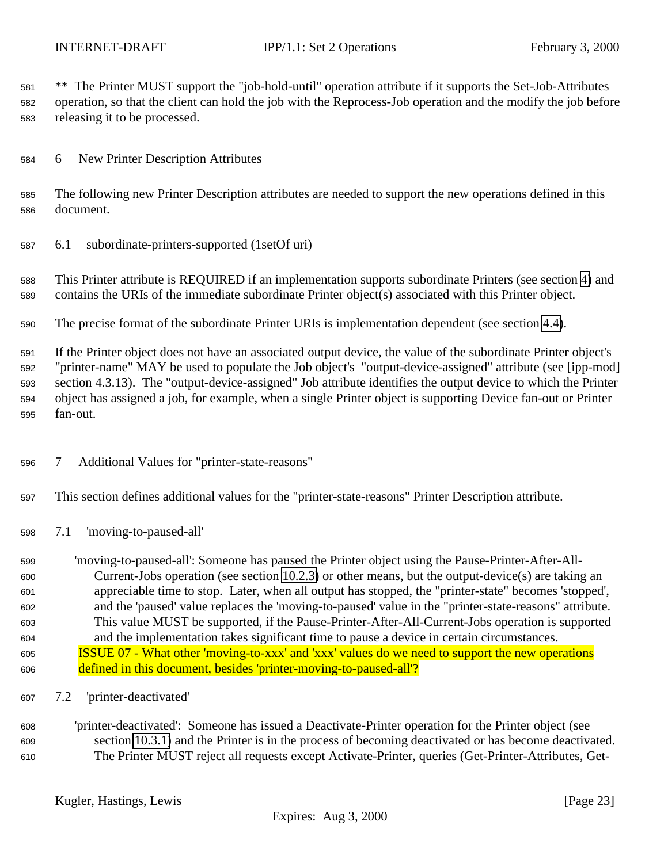<span id="page-22-0"></span> \*\* The Printer MUST support the "job-hold-until" operation attribute if it supports the Set-Job-Attributes operation, so that the client can hold the job with the Reprocess-Job operation and the modify the job before releasing it to be processed.

6 New Printer Description Attributes

 The following new Printer Description attributes are needed to support the new operations defined in this document.

6.1 subordinate-printers-supported (1setOf uri)

 This Printer attribute is REQUIRED if an implementation supports subordinate Printers (see section [4\)](#page-11-0) and contains the URIs of the immediate subordinate Printer object(s) associated with this Printer object.

The precise format of the subordinate Printer URIs is implementation dependent (see section [4.4\)](#page-13-0).

 If the Printer object does not have an associated output device, the value of the subordinate Printer object's "printer-name" MAY be used to populate the Job object's "output-device-assigned" attribute (see [ipp-mod] section 4.3.13). The "output-device-assigned" Job attribute identifies the output device to which the Printer object has assigned a job, for example, when a single Printer object is supporting Device fan-out or Printer fan-out.

- 7 Additional Values for "printer-state-reasons"
- This section defines additional values for the "printer-state-reasons" Printer Description attribute.
- 7.1 'moving-to-paused-all'

 'moving-to-paused-all': Someone has paused the Printer object using the Pause-Printer-After-All- Current-Jobs operation (see section [10.2.3\)](#page-29-0) or other means, but the output-device(s) are taking an appreciable time to stop. Later, when all output has stopped, the "printer-state" becomes 'stopped', and the 'paused' value replaces the 'moving-to-paused' value in the "printer-state-reasons" attribute. This value MUST be supported, if the Pause-Printer-After-All-Current-Jobs operation is supported and the implementation takes significant time to pause a device in certain circumstances. ISSUE 07 - What other 'moving-to-xxx' and 'xxx' values do we need to support the new operations defined in this document, besides 'printer-moving-to-paused-all'?

- 7.2 'printer-deactivated'
- 'printer-deactivated': Someone has issued a Deactivate-Printer operation for the Printer object (see section [10.3.1\)](#page-31-0) and the Printer is in the process of becoming deactivated or has become deactivated. The Printer MUST reject all requests except Activate-Printer, queries (Get-Printer-Attributes, Get-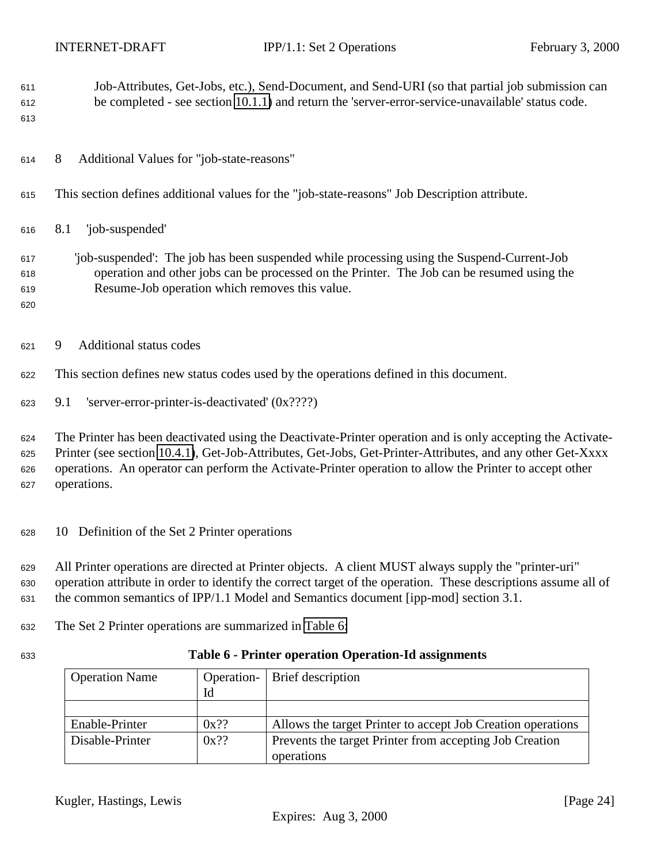<span id="page-23-0"></span>

| 611<br>612<br>613        | Job-Attributes, Get-Jobs, etc.), Send-Document, and Send-URI (so that partial job submission can<br>be completed - see section 10.1.1) and return the 'server-error-service-unavailable' status code.                                                                                                                                               |
|--------------------------|-----------------------------------------------------------------------------------------------------------------------------------------------------------------------------------------------------------------------------------------------------------------------------------------------------------------------------------------------------|
| 614                      | Additional Values for "job-state-reasons"<br>8                                                                                                                                                                                                                                                                                                      |
| 615                      | This section defines additional values for the "job-state-reasons" Job Description attribute.                                                                                                                                                                                                                                                       |
| 616                      | 'job-suspended'<br>8.1                                                                                                                                                                                                                                                                                                                              |
| 617<br>618<br>619<br>620 | 'job-suspended': The job has been suspended while processing using the Suspend-Current-Job<br>operation and other jobs can be processed on the Printer. The Job can be resumed using the<br>Resume-Job operation which removes this value.                                                                                                          |
| 621                      | Additional status codes<br>9                                                                                                                                                                                                                                                                                                                        |
| 622                      | This section defines new status codes used by the operations defined in this document.                                                                                                                                                                                                                                                              |
| 623                      | 'server-error-printer-is-deactivated' (0x????)<br>9.1                                                                                                                                                                                                                                                                                               |
| 624<br>625<br>626<br>627 | The Printer has been deactivated using the Deactivate-Printer operation and is only accepting the Activate-<br>Printer (see section 10.4.1), Get-Job-Attributes, Get-Jobs, Get-Printer-Attributes, and any other Get-Xxxx<br>operations. An operator can perform the Activate-Printer operation to allow the Printer to accept other<br>operations. |
| 628                      | 10 Definition of the Set 2 Printer operations                                                                                                                                                                                                                                                                                                       |
| 629<br>630<br>631        | All Printer operations are directed at Printer objects. A client MUST always supply the "printer-uri"<br>operation attribute in order to identify the correct target of the operation. These descriptions assume all of<br>the common semantics of IPP/1.1 Model and Semantics document [ipp-mod] section 3.1.                                      |
| 632                      | The Set 2 Printer operations are summarized in Table 6:                                                                                                                                                                                                                                                                                             |
| 633                      | Table 6 - Printer operation Operation-Id assignments                                                                                                                                                                                                                                                                                                |

| <b>Operation Name</b> |         | Operation - Brief description                               |
|-----------------------|---------|-------------------------------------------------------------|
|                       | Id      |                                                             |
|                       |         |                                                             |
| Enable-Printer        | $0x$ ?? | Allows the target Printer to accept Job Creation operations |
| Disable-Printer       | $0x$ ?? | Prevents the target Printer from accepting Job Creation     |
|                       |         | operations                                                  |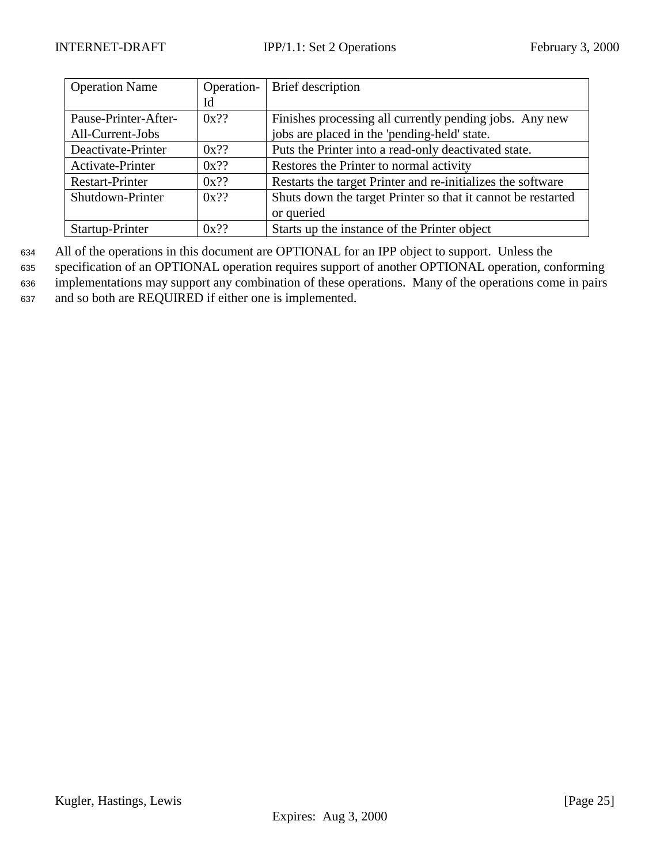| <b>Operation Name</b>  | Operation- | Brief description                                            |
|------------------------|------------|--------------------------------------------------------------|
|                        | Id         |                                                              |
| Pause-Printer-After-   | $0x$ ??    | Finishes processing all currently pending jobs. Any new      |
| All-Current-Jobs       |            | jobs are placed in the 'pending-held' state.                 |
| Deactivate-Printer     | $0x$ ??    | Puts the Printer into a read-only deactivated state.         |
| Activate-Printer       | $0x$ ??    | Restores the Printer to normal activity                      |
| <b>Restart-Printer</b> | $0x$ ??    | Restarts the target Printer and re-initializes the software  |
| Shutdown-Printer       | $0x$ ??    | Shuts down the target Printer so that it cannot be restarted |
|                        |            | or queried                                                   |
| Startup-Printer        | $0x$ ??    | Starts up the instance of the Printer object                 |

<sup>634</sup> All of the operations in this document are OPTIONAL for an IPP object to support. Unless the

<sup>635</sup> specification of an OPTIONAL operation requires support of another OPTIONAL operation, conforming <sup>636</sup> implementations may support any combination of these operations. Many of the operations come in pairs <sup>637</sup> and so both are REQUIRED if either one is implemented.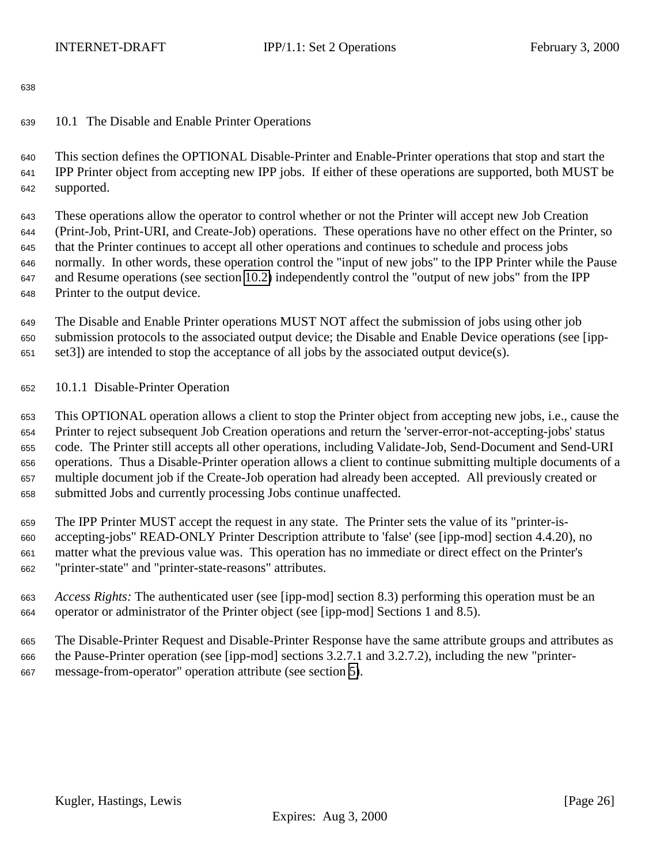# <span id="page-25-0"></span>10.1 The Disable and Enable Printer Operations

 This section defines the OPTIONAL Disable-Printer and Enable-Printer operations that stop and start the IPP Printer object from accepting new IPP jobs. If either of these operations are supported, both MUST be supported.

 These operations allow the operator to control whether or not the Printer will accept new Job Creation (Print-Job, Print-URI, and Create-Job) operations. These operations have no other effect on the Printer, so that the Printer continues to accept all other operations and continues to schedule and process jobs normally. In other words, these operation control the "input of new jobs" to the IPP Printer while the Pause and Resume operations (see section [10.2\)](#page-26-0) independently control the "output of new jobs" from the IPP Printer to the output device.

 The Disable and Enable Printer operations MUST NOT affect the submission of jobs using other job submission protocols to the associated output device; the Disable and Enable Device operations (see [ipp-set3]) are intended to stop the acceptance of all jobs by the associated output device(s).

10.1.1 Disable-Printer Operation

 This OPTIONAL operation allows a client to stop the Printer object from accepting new jobs, i.e., cause the Printer to reject subsequent Job Creation operations and return the 'server-error-not-accepting-jobs' status code. The Printer still accepts all other operations, including Validate-Job, Send-Document and Send-URI operations. Thus a Disable-Printer operation allows a client to continue submitting multiple documents of a multiple document job if the Create-Job operation had already been accepted. All previously created or submitted Jobs and currently processing Jobs continue unaffected.

 The IPP Printer MUST accept the request in any state. The Printer sets the value of its "printer-is- accepting-jobs" READ-ONLY Printer Description attribute to 'false' (see [ipp-mod] section 4.4.20), no matter what the previous value was. This operation has no immediate or direct effect on the Printer's "printer-state" and "printer-state-reasons" attributes.

- *Access Rights:* The authenticated user (see [ipp-mod] section 8.3) performing this operation must be an operator or administrator of the Printer object (see [ipp-mod] Sections 1 and 8.5).
- The Disable-Printer Request and Disable-Printer Response have the same attribute groups and attributes as the Pause-Printer operation (see [ipp-mod] sections 3.2.7.1 and 3.2.7.2), including the new "printer-message-from-operator" operation attribute (see section [5\)](#page-20-0).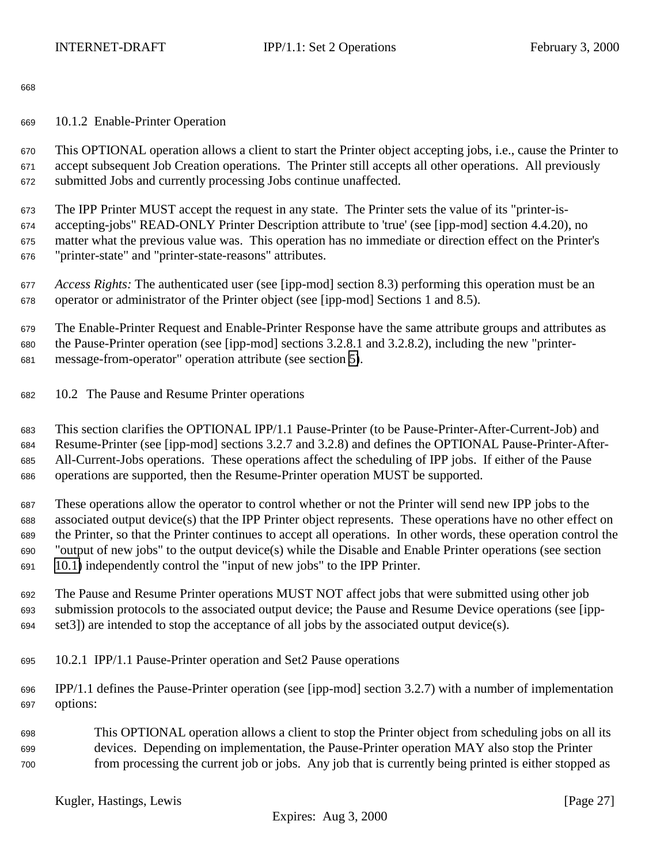<span id="page-26-0"></span>10.1.2 Enable-Printer Operation

 This OPTIONAL operation allows a client to start the Printer object accepting jobs, i.e., cause the Printer to accept subsequent Job Creation operations. The Printer still accepts all other operations. All previously submitted Jobs and currently processing Jobs continue unaffected.

 The IPP Printer MUST accept the request in any state. The Printer sets the value of its "printer-is- accepting-jobs" READ-ONLY Printer Description attribute to 'true' (see [ipp-mod] section 4.4.20), no matter what the previous value was. This operation has no immediate or direction effect on the Printer's "printer-state" and "printer-state-reasons" attributes.

 *Access Rights:* The authenticated user (see [ipp-mod] section 8.3) performing this operation must be an operator or administrator of the Printer object (see [ipp-mod] Sections 1 and 8.5).

 The Enable-Printer Request and Enable-Printer Response have the same attribute groups and attributes as the Pause-Printer operation (see [ipp-mod] sections 3.2.8.1 and 3.2.8.2), including the new "printer-message-from-operator" operation attribute (see section [5\)](#page-20-0).

10.2 The Pause and Resume Printer operations

 This section clarifies the OPTIONAL IPP/1.1 Pause-Printer (to be Pause-Printer-After-Current-Job) and Resume-Printer (see [ipp-mod] sections 3.2.7 and 3.2.8) and defines the OPTIONAL Pause-Printer-After- All-Current-Jobs operations. These operations affect the scheduling of IPP jobs. If either of the Pause operations are supported, then the Resume-Printer operation MUST be supported.

 These operations allow the operator to control whether or not the Printer will send new IPP jobs to the associated output device(s) that the IPP Printer object represents. These operations have no other effect on the Printer, so that the Printer continues to accept all operations. In other words, these operation control the "output of new jobs" to the output device(s) while the Disable and Enable Printer operations (see section [10.1\)](#page-25-0) independently control the "input of new jobs" to the IPP Printer.

 The Pause and Resume Printer operations MUST NOT affect jobs that were submitted using other job submission protocols to the associated output device; the Pause and Resume Device operations (see [ipp-set3]) are intended to stop the acceptance of all jobs by the associated output device(s).

- 10.2.1 IPP/1.1 Pause-Printer operation and Set2 Pause operations
- IPP/1.1 defines the Pause-Printer operation (see [ipp-mod] section 3.2.7) with a number of implementation options:
- This OPTIONAL operation allows a client to stop the Printer object from scheduling jobs on all its devices. Depending on implementation, the Pause-Printer operation MAY also stop the Printer from processing the current job or jobs. Any job that is currently being printed is either stopped as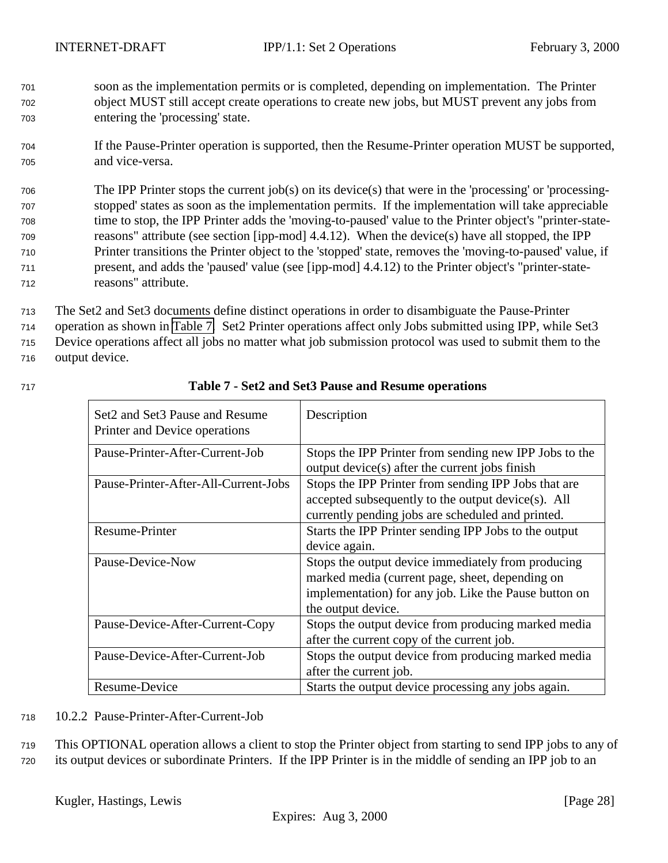- <span id="page-27-0"></span><sup>701</sup> soon as the implementation permits or is completed, depending on implementation. The Printer <sup>702</sup> object MUST still accept create operations to create new jobs, but MUST prevent any jobs from <sup>703</sup> entering the 'processing' state.
- <sup>704</sup> If the Pause-Printer operation is supported, then the Resume-Printer operation MUST be supported, <sup>705</sup> and vice-versa.

 The IPP Printer stops the current job(s) on its device(s) that were in the 'processing' or 'processing- stopped' states as soon as the implementation permits. If the implementation will take appreciable time to stop, the IPP Printer adds the 'moving-to-paused' value to the Printer object's "printer-state- reasons" attribute (see section [ipp-mod] 4.4.12). When the device(s) have all stopped, the IPP Printer transitions the Printer object to the 'stopped' state, removes the 'moving-to-paused' value, if present, and adds the 'paused' value (see [ipp-mod] 4.4.12) to the Printer object's "printer-state-reasons" attribute.

 The Set2 and Set3 documents define distinct operations in order to disambiguate the Pause-Printer operation as shown in Table 7. Set2 Printer operations affect only Jobs submitted using IPP, while Set3 Device operations affect all jobs no matter what job submission protocol was used to submit them to the output device.

| Set2 and Set3 Pause and Resume<br>Printer and Device operations | Description                                                                                                                                                                          |
|-----------------------------------------------------------------|--------------------------------------------------------------------------------------------------------------------------------------------------------------------------------------|
| Pause-Printer-After-Current-Job                                 | Stops the IPP Printer from sending new IPP Jobs to the<br>output device(s) after the current jobs finish                                                                             |
| Pause-Printer-After-All-Current-Jobs                            | Stops the IPP Printer from sending IPP Jobs that are<br>accepted subsequently to the output device(s). All<br>currently pending jobs are scheduled and printed.                      |
| <b>Resume-Printer</b>                                           | Starts the IPP Printer sending IPP Jobs to the output<br>device again.                                                                                                               |
| Pause-Device-Now                                                | Stops the output device immediately from producing<br>marked media (current page, sheet, depending on<br>implementation) for any job. Like the Pause button on<br>the output device. |
| Pause-Device-After-Current-Copy                                 | Stops the output device from producing marked media<br>after the current copy of the current job.                                                                                    |
| Pause-Device-After-Current-Job                                  | Stops the output device from producing marked media<br>after the current job.                                                                                                        |
| Resume-Device                                                   | Starts the output device processing any jobs again.                                                                                                                                  |

# <sup>717</sup> **Table 7 - Set2 and Set3 Pause and Resume operations**

<sup>718</sup> 10.2.2 Pause-Printer-After-Current-Job

<sup>719</sup> This OPTIONAL operation allows a client to stop the Printer object from starting to send IPP jobs to any of <sup>720</sup> its output devices or subordinate Printers. If the IPP Printer is in the middle of sending an IPP job to an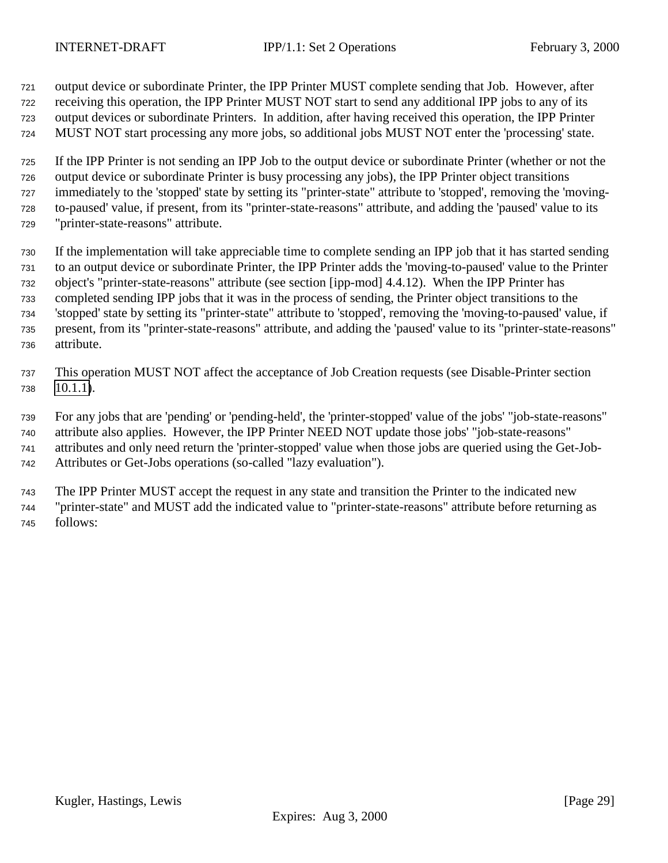output device or subordinate Printer, the IPP Printer MUST complete sending that Job. However, after receiving this operation, the IPP Printer MUST NOT start to send any additional IPP jobs to any of its output devices or subordinate Printers. In addition, after having received this operation, the IPP Printer MUST NOT start processing any more jobs, so additional jobs MUST NOT enter the 'processing' state.

 If the IPP Printer is not sending an IPP Job to the output device or subordinate Printer (whether or not the output device or subordinate Printer is busy processing any jobs), the IPP Printer object transitions immediately to the 'stopped' state by setting its "printer-state" attribute to 'stopped', removing the 'moving- to-paused' value, if present, from its "printer-state-reasons" attribute, and adding the 'paused' value to its "printer-state-reasons" attribute.

 If the implementation will take appreciable time to complete sending an IPP job that it has started sending to an output device or subordinate Printer, the IPP Printer adds the 'moving-to-paused' value to the Printer object's "printer-state-reasons" attribute (see section [ipp-mod] 4.4.12). When the IPP Printer has completed sending IPP jobs that it was in the process of sending, the Printer object transitions to the 'stopped' state by setting its "printer-state" attribute to 'stopped', removing the 'moving-to-paused' value, if present, from its "printer-state-reasons" attribute, and adding the 'paused' value to its "printer-state-reasons" attribute.

- This operation MUST NOT affect the acceptance of Job Creation requests (see Disable-Printer section [10.1.1\)](#page-25-0).
- For any jobs that are 'pending' or 'pending-held', the 'printer-stopped' value of the jobs' "job-state-reasons" attribute also applies. However, the IPP Printer NEED NOT update those jobs' "job-state-reasons" attributes and only need return the 'printer-stopped' value when those jobs are queried using the Get-Job-
- Attributes or Get-Jobs operations (so-called "lazy evaluation").

 The IPP Printer MUST accept the request in any state and transition the Printer to the indicated new "printer-state" and MUST add the indicated value to "printer-state-reasons" attribute before returning as follows: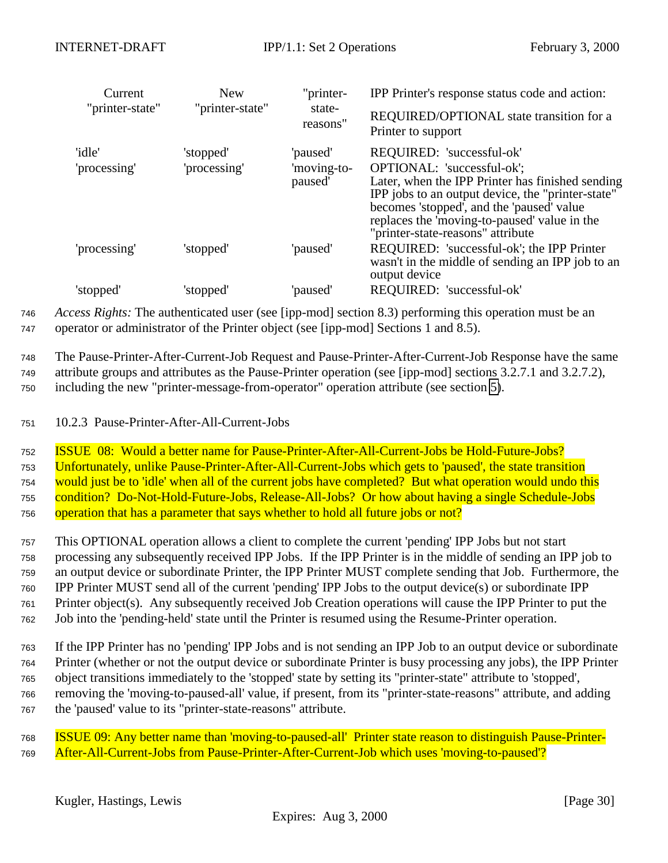<span id="page-29-0"></span>

| Current                | <b>New</b>                |                                    | IPP Printer's response status code and action:                                                                                                                                                                                                                                                     |
|------------------------|---------------------------|------------------------------------|----------------------------------------------------------------------------------------------------------------------------------------------------------------------------------------------------------------------------------------------------------------------------------------------------|
| "printer-state"        | "printer-state"           | state-<br>reasons"                 | REQUIRED/OPTIONAL state transition for a<br>Printer to support                                                                                                                                                                                                                                     |
| 'idle'<br>'processing' | 'stopped'<br>'processing' | 'paused'<br>'moving-to-<br>paused' | REQUIRED: 'successful-ok'<br>OPTIONAL: 'successful-ok';<br>Later, when the IPP Printer has finished sending<br>IPP jobs to an output device, the "printer-state"<br>becomes 'stopped', and the 'paused' value<br>replaces the 'moving-to-paused' value in the<br>"printer-state-reasons" attribute |
| 'processing'           | 'stopped'                 | 'paused'                           | REQUIRED: 'successful-ok'; the IPP Printer<br>wasn't in the middle of sending an IPP job to an<br>output device                                                                                                                                                                                    |
| 'stopped'              | 'stopped'                 | 'paused'                           | REQUIRED: 'successful-ok'                                                                                                                                                                                                                                                                          |

<sup>746</sup> *Access Rights:* The authenticated user (see [ipp-mod] section 8.3) performing this operation must be an <sup>747</sup> operator or administrator of the Printer object (see [ipp-mod] Sections 1 and 8.5).

<sup>748</sup> The Pause-Printer-After-Current-Job Request and Pause-Printer-After-Current-Job Response have the same <sup>749</sup> attribute groups and attributes as the Pause-Printer operation (see [ipp-mod] sections 3.2.7.1 and 3.2.7.2), <sup>750</sup> including the new "printer-message-from-operator" operation attribute (see section [5\)](#page-20-0).

<sup>751</sup> 10.2.3 Pause-Printer-After-All-Current-Jobs

 ISSUE 08: Would a better name for Pause-Printer-After-All-Current-Jobs be Hold-Future-Jobs? Unfortunately, unlike Pause-Printer-After-All-Current-Jobs which gets to 'paused', the state transition would just be to 'idle' when all of the current jobs have completed? But what operation would undo this condition? Do-Not-Hold-Future-Jobs, Release-All-Jobs? Or how about having a single Schedule-Jobs operation that has a parameter that says whether to hold all future jobs or not?

 This OPTIONAL operation allows a client to complete the current 'pending' IPP Jobs but not start processing any subsequently received IPP Jobs. If the IPP Printer is in the middle of sending an IPP job to an output device or subordinate Printer, the IPP Printer MUST complete sending that Job. Furthermore, the IPP Printer MUST send all of the current 'pending' IPP Jobs to the output device(s) or subordinate IPP Printer object(s). Any subsequently received Job Creation operations will cause the IPP Printer to put the Job into the 'pending-held' state until the Printer is resumed using the Resume-Printer operation.

 If the IPP Printer has no 'pending' IPP Jobs and is not sending an IPP Job to an output device or subordinate Printer (whether or not the output device or subordinate Printer is busy processing any jobs), the IPP Printer object transitions immediately to the 'stopped' state by setting its "printer-state" attribute to 'stopped', removing the 'moving-to-paused-all' value, if present, from its "printer-state-reasons" attribute, and adding the 'paused' value to its "printer-state-reasons" attribute.

<sup>768</sup> ISSUE 09: Any better name than 'moving-to-paused-all' Printer state reason to distinguish Pause-Printer-<sup>769</sup> After-All-Current-Jobs from Pause-Printer-After-Current-Job which uses 'moving-to-paused'?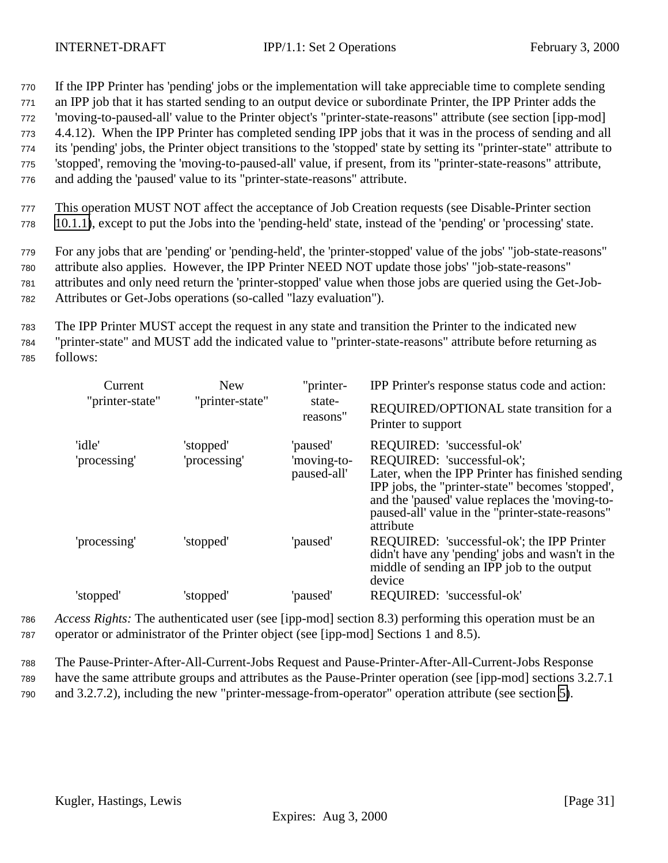<sup>770</sup> If the IPP Printer has 'pending' jobs or the implementation will take appreciable time to complete sending

<sup>771</sup> an IPP job that it has started sending to an output device or subordinate Printer, the IPP Printer adds the

<sup>772</sup> 'moving-to-paused-all' value to the Printer object's "printer-state-reasons" attribute (see section [ipp-mod]

<sup>773</sup> 4.4.12). When the IPP Printer has completed sending IPP jobs that it was in the process of sending and all

<sup>774</sup> its 'pending' jobs, the Printer object transitions to the 'stopped' state by setting its "printer-state" attribute to <sup>775</sup> 'stopped', removing the 'moving-to-paused-all' value, if present, from its "printer-state-reasons" attribute,

<sup>776</sup> and adding the 'paused' value to its "printer-state-reasons" attribute.

<sup>777</sup> This operation MUST NOT affect the acceptance of Job Creation requests (see Disable-Printer section <sup>778</sup> [10.1.1\)](#page-25-0), except to put the Jobs into the 'pending-held' state, instead of the 'pending' or 'processing' state.

<sup>779</sup> For any jobs that are 'pending' or 'pending-held', the 'printer-stopped' value of the jobs' "job-state-reasons" <sup>780</sup> attribute also applies. However, the IPP Printer NEED NOT update those jobs' "job-state-reasons"

<sup>781</sup> attributes and only need return the 'printer-stopped' value when those jobs are queried using the Get-Job-<sup>782</sup> Attributes or Get-Jobs operations (so-called "lazy evaluation").

<sup>783</sup> The IPP Printer MUST accept the request in any state and transition the Printer to the indicated new <sup>784</sup> "printer-state" and MUST add the indicated value to "printer-state-reasons" attribute before returning as <sup>785</sup> follows:

| Current         | New             | "printer-                  | IPP Printer's response status code and action:                                                                                                                                                                                                         |
|-----------------|-----------------|----------------------------|--------------------------------------------------------------------------------------------------------------------------------------------------------------------------------------------------------------------------------------------------------|
| "printer-state" | "printer-state" | state-<br>reasons"         | REQUIRED/OPTIONAL state transition for a<br>Printer to support                                                                                                                                                                                         |
| 'idle'          | 'stopped'       | 'paused'                   | REQUIRED: 'successful-ok'                                                                                                                                                                                                                              |
| 'processing'    | 'processing'    | 'moving-to-<br>paused-all' | REQUIRED: 'successful-ok';<br>Later, when the IPP Printer has finished sending<br>IPP jobs, the "printer-state" becomes 'stopped',<br>and the 'paused' value replaces the 'moving-to-<br>paused-all' value in the "printer-state-reasons"<br>attribute |
| 'processing'    | 'stopped'       | 'paused'                   | REQUIRED: 'successful-ok'; the IPP Printer<br>didn't have any 'pending' jobs and wasn't in the<br>middle of sending an IPP job to the output<br>device                                                                                                 |
| 'stopped'       | 'stopped'       | 'paused'                   | REQUIRED: 'successful-ok'                                                                                                                                                                                                                              |

<sup>786</sup> *Access Rights:* The authenticated user (see [ipp-mod] section 8.3) performing this operation must be an <sup>787</sup> operator or administrator of the Printer object (see [ipp-mod] Sections 1 and 8.5).

<sup>788</sup> The Pause-Printer-After-All-Current-Jobs Request and Pause-Printer-After-All-Current-Jobs Response <sup>789</sup> have the same attribute groups and attributes as the Pause-Printer operation (see [ipp-mod] sections 3.2.7.1 <sup>790</sup> and 3.2.7.2), including the new "printer-message-from-operator" operation attribute (see section [5\)](#page-20-0).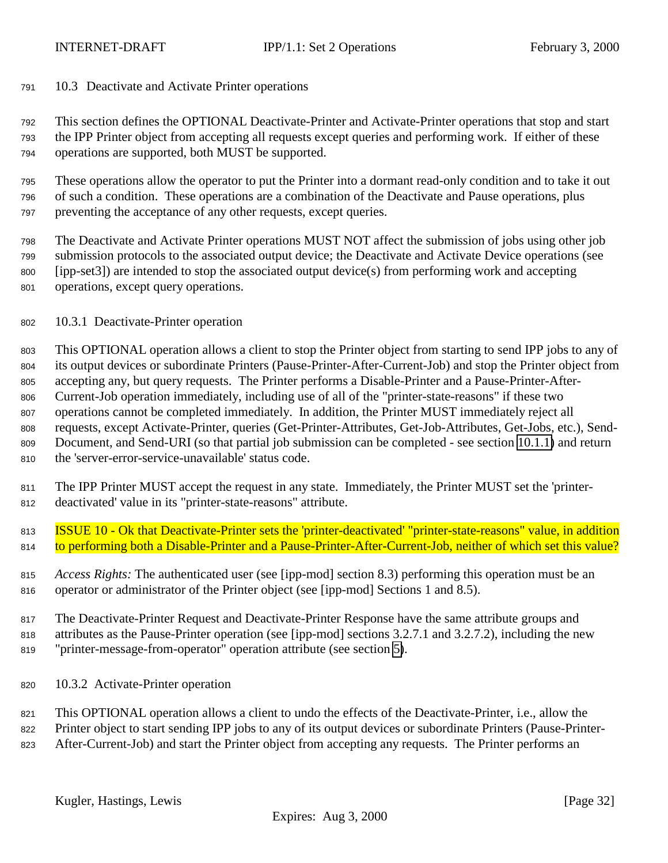<span id="page-31-0"></span>10.3 Deactivate and Activate Printer operations

 This section defines the OPTIONAL Deactivate-Printer and Activate-Printer operations that stop and start the IPP Printer object from accepting all requests except queries and performing work. If either of these operations are supported, both MUST be supported.

 These operations allow the operator to put the Printer into a dormant read-only condition and to take it out of such a condition. These operations are a combination of the Deactivate and Pause operations, plus preventing the acceptance of any other requests, except queries.

 The Deactivate and Activate Printer operations MUST NOT affect the submission of jobs using other job submission protocols to the associated output device; the Deactivate and Activate Device operations (see [ipp-set3]) are intended to stop the associated output device(s) from performing work and accepting operations, except query operations.

### 10.3.1 Deactivate-Printer operation

 This OPTIONAL operation allows a client to stop the Printer object from starting to send IPP jobs to any of its output devices or subordinate Printers (Pause-Printer-After-Current-Job) and stop the Printer object from accepting any, but query requests. The Printer performs a Disable-Printer and a Pause-Printer-After- Current-Job operation immediately, including use of all of the "printer-state-reasons" if these two operations cannot be completed immediately. In addition, the Printer MUST immediately reject all requests, except Activate-Printer, queries (Get-Printer-Attributes, Get-Job-Attributes, Get-Jobs, etc.), Send- Document, and Send-URI (so that partial job submission can be completed - see section [10.1.1\)](#page-25-0) and return the 'server-error-service-unavailable' status code.

- The IPP Printer MUST accept the request in any state. Immediately, the Printer MUST set the 'printer-deactivated' value in its "printer-state-reasons" attribute.
- **ISSUE 10 Ok that Deactivate-Printer sets the 'printer-deactivated' "printer-state-reasons" value, in addition** 814 to performing both a Disable-Printer and a Pause-Printer-After-Current-Job, neither of which set this value?
- *Access Rights:* The authenticated user (see [ipp-mod] section 8.3) performing this operation must be an operator or administrator of the Printer object (see [ipp-mod] Sections 1 and 8.5).

 The Deactivate-Printer Request and Deactivate-Printer Response have the same attribute groups and attributes as the Pause-Printer operation (see [ipp-mod] sections 3.2.7.1 and 3.2.7.2), including the new "printer-message-from-operator" operation attribute (see section [5\)](#page-20-0).

10.3.2 Activate-Printer operation

 This OPTIONAL operation allows a client to undo the effects of the Deactivate-Printer, i.e., allow the Printer object to start sending IPP jobs to any of its output devices or subordinate Printers (Pause-Printer-After-Current-Job) and start the Printer object from accepting any requests. The Printer performs an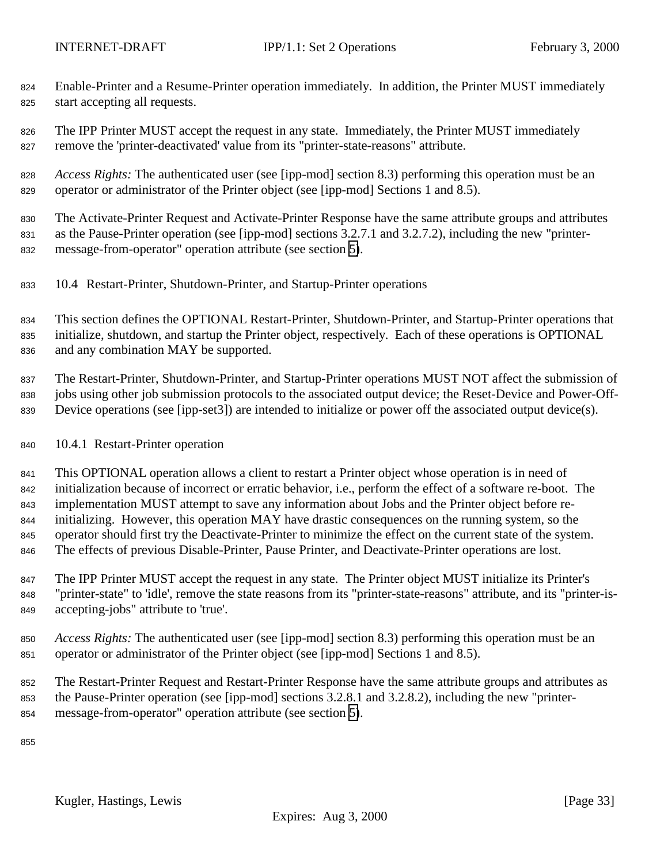- <span id="page-32-0"></span> Enable-Printer and a Resume-Printer operation immediately. In addition, the Printer MUST immediately start accepting all requests.
- 826 The IPP Printer MUST accept the request in any state. Immediately, the Printer MUST immediately remove the 'printer-deactivated' value from its "printer-state-reasons" attribute.
- *Access Rights:* The authenticated user (see [ipp-mod] section 8.3) performing this operation must be an operator or administrator of the Printer object (see [ipp-mod] Sections 1 and 8.5).

 The Activate-Printer Request and Activate-Printer Response have the same attribute groups and attributes as the Pause-Printer operation (see [ipp-mod] sections 3.2.7.1 and 3.2.7.2), including the new "printer-message-from-operator" operation attribute (see section [5\)](#page-20-0).

10.4 Restart-Printer, Shutdown-Printer, and Startup-Printer operations

 This section defines the OPTIONAL Restart-Printer, Shutdown-Printer, and Startup-Printer operations that initialize, shutdown, and startup the Printer object, respectively. Each of these operations is OPTIONAL and any combination MAY be supported.

 The Restart-Printer, Shutdown-Printer, and Startup-Printer operations MUST NOT affect the submission of jobs using other job submission protocols to the associated output device; the Reset-Device and Power-Off-Device operations (see [ipp-set3]) are intended to initialize or power off the associated output device(s).

10.4.1 Restart-Printer operation

 This OPTIONAL operation allows a client to restart a Printer object whose operation is in need of initialization because of incorrect or erratic behavior, i.e., perform the effect of a software re-boot. The implementation MUST attempt to save any information about Jobs and the Printer object before re- initializing. However, this operation MAY have drastic consequences on the running system, so the operator should first try the Deactivate-Printer to minimize the effect on the current state of the system. 846 The effects of previous Disable-Printer, Pause Printer, and Deactivate-Printer operations are lost.

- The IPP Printer MUST accept the request in any state. The Printer object MUST initialize its Printer's "printer-state" to 'idle', remove the state reasons from its "printer-state-reasons" attribute, and its "printer-is-accepting-jobs" attribute to 'true'.
- *Access Rights:* The authenticated user (see [ipp-mod] section 8.3) performing this operation must be an operator or administrator of the Printer object (see [ipp-mod] Sections 1 and 8.5).
- The Restart-Printer Request and Restart-Printer Response have the same attribute groups and attributes as the Pause-Printer operation (see [ipp-mod] sections 3.2.8.1 and 3.2.8.2), including the new "printer-message-from-operator" operation attribute (see section [5\)](#page-20-0).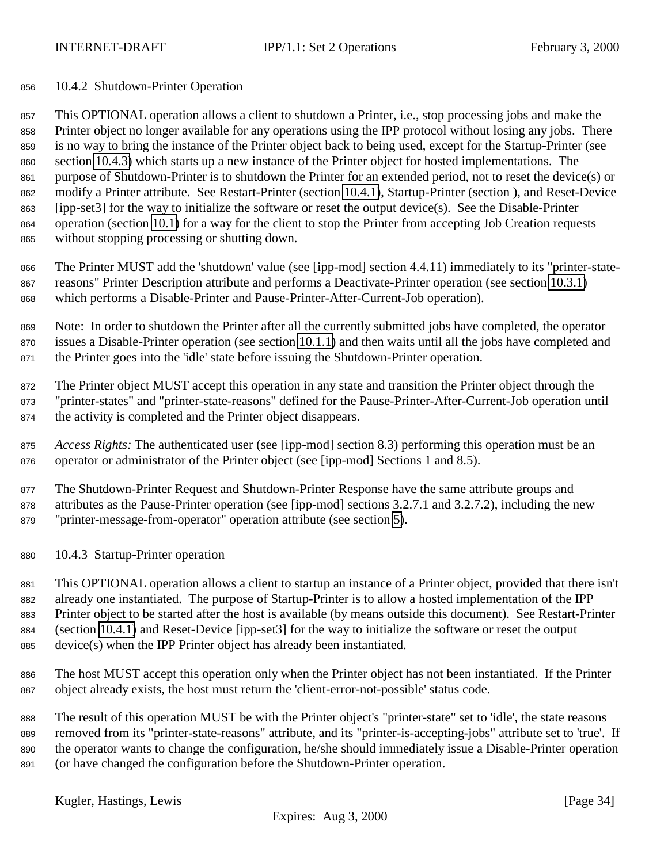## <span id="page-33-0"></span>10.4.2 Shutdown-Printer Operation

 This OPTIONAL operation allows a client to shutdown a Printer, i.e., stop processing jobs and make the Printer object no longer available for any operations using the IPP protocol without losing any jobs. There is no way to bring the instance of the Printer object back to being used, except for the Startup-Printer (see section 10.4.3) which starts up a new instance of the Printer object for hosted implementations. The purpose of Shutdown-Printer is to shutdown the Printer for an extended period, not to reset the device(s) or modify a Printer attribute. See Restart-Printer (section [10.4.1\)](#page-32-0), Startup-Printer (section ), and Reset-Device [ipp-set3] for the way to initialize the software or reset the output device(s). See the Disable-Printer operation (section [10.1\)](#page-25-0) for a way for the client to stop the Printer from accepting Job Creation requests without stopping processing or shutting down.

 The Printer MUST add the 'shutdown' value (see [ipp-mod] section 4.4.11) immediately to its "printer-state- reasons" Printer Description attribute and performs a Deactivate-Printer operation (see section [10.3.1\)](#page-31-0) which performs a Disable-Printer and Pause-Printer-After-Current-Job operation).

 Note: In order to shutdown the Printer after all the currently submitted jobs have completed, the operator issues a Disable-Printer operation (see section [10.1.1\)](#page-25-0) and then waits until all the jobs have completed and the Printer goes into the 'idle' state before issuing the Shutdown-Printer operation.

 The Printer object MUST accept this operation in any state and transition the Printer object through the "printer-states" and "printer-state-reasons" defined for the Pause-Printer-After-Current-Job operation until the activity is completed and the Printer object disappears.

 *Access Rights:* The authenticated user (see [ipp-mod] section 8.3) performing this operation must be an operator or administrator of the Printer object (see [ipp-mod] Sections 1 and 8.5).

 The Shutdown-Printer Request and Shutdown-Printer Response have the same attribute groups and attributes as the Pause-Printer operation (see [ipp-mod] sections 3.2.7.1 and 3.2.7.2), including the new "printer-message-from-operator" operation attribute (see section [5\)](#page-20-0).

10.4.3 Startup-Printer operation

 This OPTIONAL operation allows a client to startup an instance of a Printer object, provided that there isn't already one instantiated. The purpose of Startup-Printer is to allow a hosted implementation of the IPP Printer object to be started after the host is available (by means outside this document). See Restart-Printer (section [10.4.1\)](#page-32-0) and Reset-Device [ipp-set3] for the way to initialize the software or reset the output device(s) when the IPP Printer object has already been instantiated.

 The host MUST accept this operation only when the Printer object has not been instantiated. If the Printer object already exists, the host must return the 'client-error-not-possible' status code.

 The result of this operation MUST be with the Printer object's "printer-state" set to 'idle', the state reasons removed from its "printer-state-reasons" attribute, and its "printer-is-accepting-jobs" attribute set to 'true'. If the operator wants to change the configuration, he/she should immediately issue a Disable-Printer operation (or have changed the configuration before the Shutdown-Printer operation.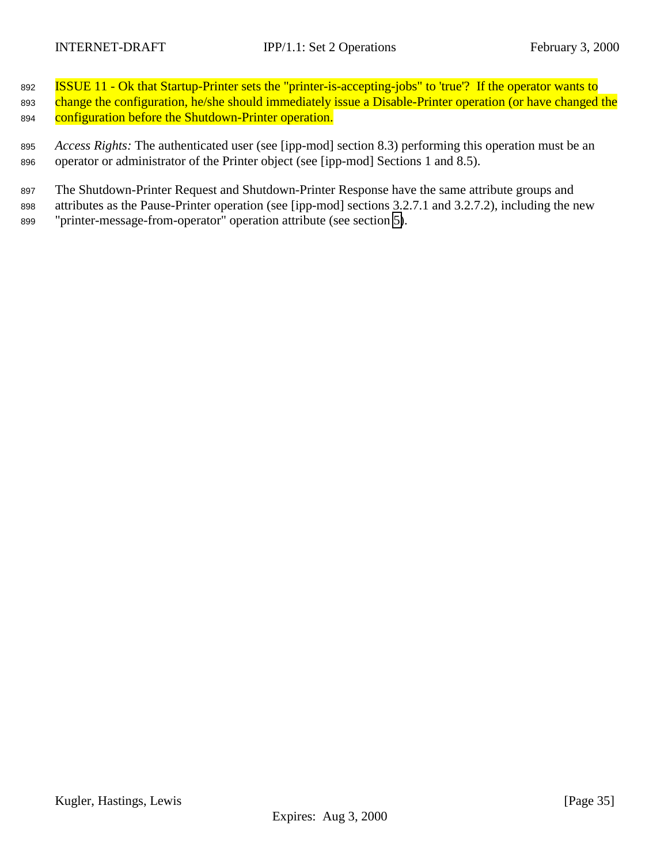892 **ISSUE 11 - Ok that Startup-Printer sets the "printer-is-accepting-jobs" to 'true'?** If the operator wants to 893 change the configuration, he/she should immediately issue a Disable-Printer operation (or have changed the 894 configuration before the Shutdown-Printer operation.

<sup>895</sup> *Access Rights:* The authenticated user (see [ipp-mod] section 8.3) performing this operation must be an <sup>896</sup> operator or administrator of the Printer object (see [ipp-mod] Sections 1 and 8.5).

<sup>897</sup> The Shutdown-Printer Request and Shutdown-Printer Response have the same attribute groups and <sup>898</sup> attributes as the Pause-Printer operation (see [ipp-mod] sections 3.2.7.1 and 3.2.7.2), including the new <sup>899</sup> "printer-message-from-operator" operation attribute (see section [5\)](#page-20-0).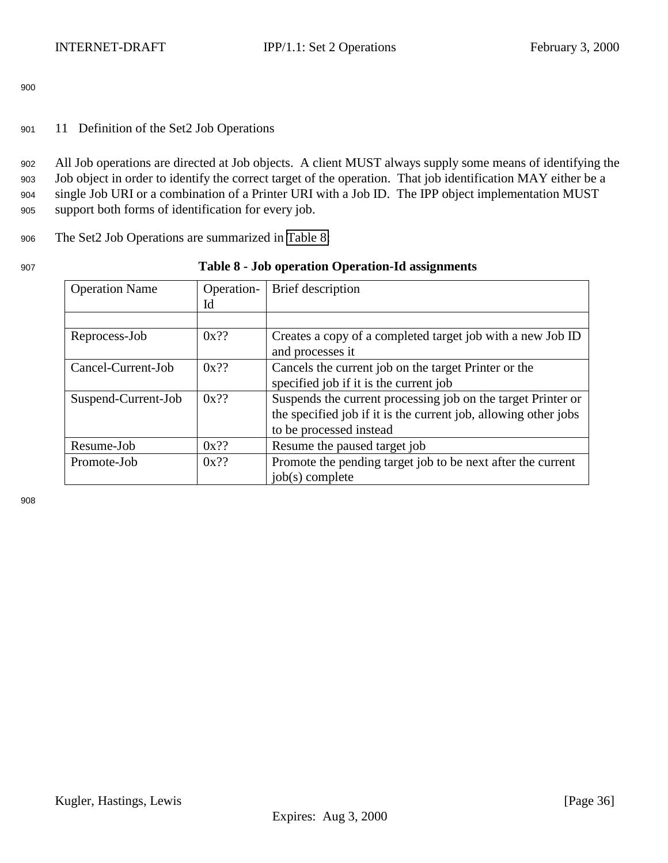<span id="page-35-0"></span><sup>901</sup> 11 Definition of the Set2 Job Operations

 All Job operations are directed at Job objects. A client MUST always supply some means of identifying the Job object in order to identify the correct target of the operation. That job identification MAY either be a single Job URI or a combination of a Printer URI with a Job ID. The IPP object implementation MUST support both forms of identification for every job.

<sup>906</sup> The Set2 Job Operations are summarized in Table 8:

| 907 | Table 8 - Job operation Operation-Id assignments |
|-----|--------------------------------------------------|
|     |                                                  |

| <b>Operation Name</b> | Operation- | Brief description                                               |
|-----------------------|------------|-----------------------------------------------------------------|
|                       | Id         |                                                                 |
|                       |            |                                                                 |
| Reprocess-Job         | $0x$ ??    | Creates a copy of a completed target job with a new Job ID      |
|                       |            | and processes it                                                |
| Cancel-Current-Job    | $0x$ ??    | Cancels the current job on the target Printer or the            |
|                       |            | specified job if it is the current job                          |
| Suspend-Current-Job   | $0x$ ??    | Suspends the current processing job on the target Printer or    |
|                       |            | the specified job if it is the current job, allowing other jobs |
|                       |            | to be processed instead                                         |
| Resume-Job            | $0x$ ??    | Resume the paused target job                                    |
| Promote-Job           | $0x$ ??    | Promote the pending target job to be next after the current     |
|                       |            | $job(s)$ complete                                               |

908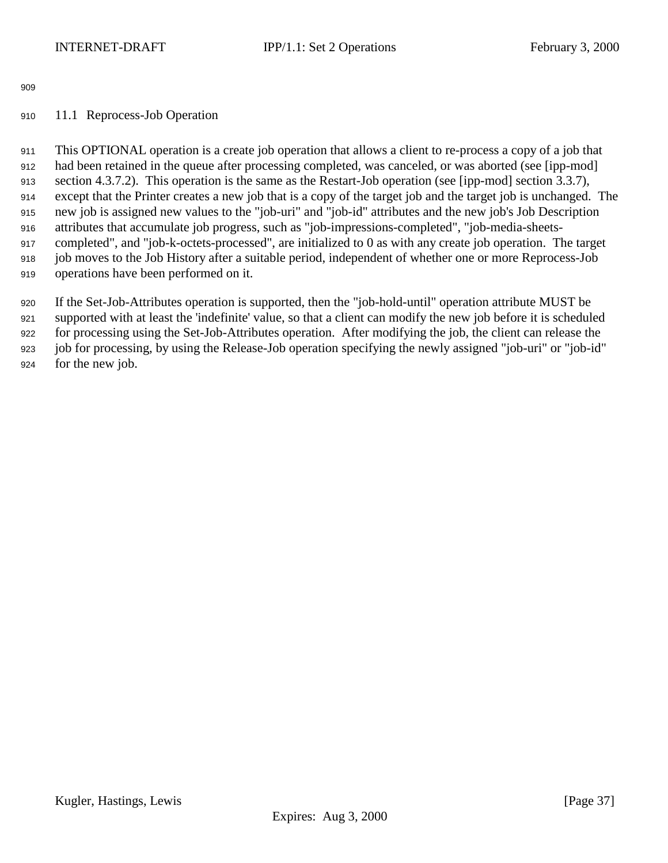# <span id="page-36-0"></span>11.1 Reprocess-Job Operation

 This OPTIONAL operation is a create job operation that allows a client to re-process a copy of a job that had been retained in the queue after processing completed, was canceled, or was aborted (see [ipp-mod] section 4.3.7.2). This operation is the same as the Restart-Job operation (see [ipp-mod] section 3.3.7), except that the Printer creates a new job that is a copy of the target job and the target job is unchanged. The new job is assigned new values to the "job-uri" and "job-id" attributes and the new job's Job Description attributes that accumulate job progress, such as "job-impressions-completed", "job-media-sheets- completed", and "job-k-octets-processed", are initialized to 0 as with any create job operation. The target job moves to the Job History after a suitable period, independent of whether one or more Reprocess-Job operations have been performed on it.

 If the Set-Job-Attributes operation is supported, then the "job-hold-until" operation attribute MUST be supported with at least the 'indefinite' value, so that a client can modify the new job before it is scheduled for processing using the Set-Job-Attributes operation. After modifying the job, the client can release the job for processing, by using the Release-Job operation specifying the newly assigned "job-uri" or "job-id" for the new job.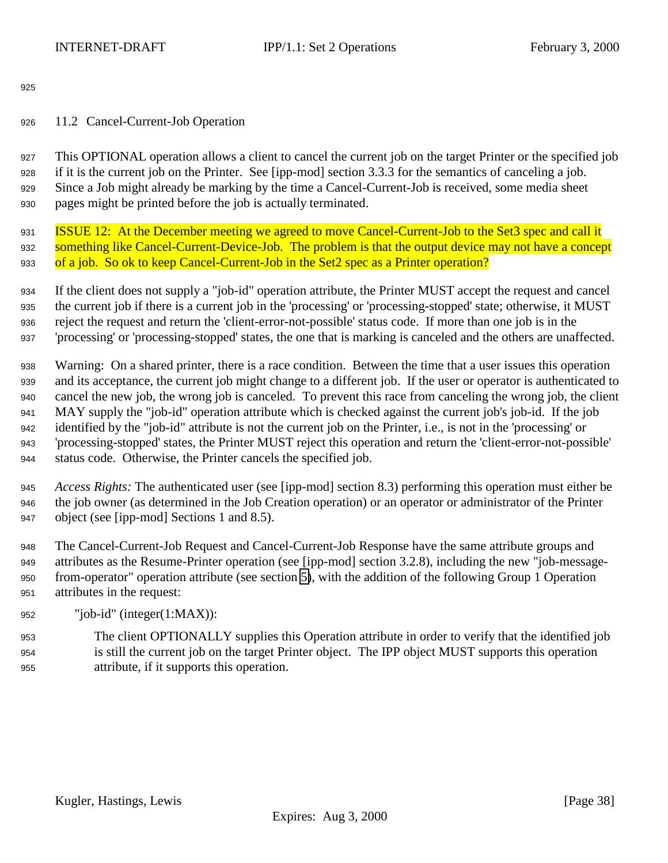## <span id="page-37-0"></span>11.2 Cancel-Current-Job Operation

 This OPTIONAL operation allows a client to cancel the current job on the target Printer or the specified job if it is the current job on the Printer. See [ipp-mod] section 3.3.3 for the semantics of canceling a job. Since a Job might already be marking by the time a Cancel-Current-Job is received, some media sheet pages might be printed before the job is actually terminated.

 ISSUE 12: At the December meeting we agreed to move Cancel-Current-Job to the Set3 spec and call it 932 something like Cancel-Current-Device-Job. The problem is that the output device may not have a concept 933 of a job. So ok to keep Cancel-Current-Job in the Set2 spec as a Printer operation?

 If the client does not supply a "job-id" operation attribute, the Printer MUST accept the request and cancel the current job if there is a current job in the 'processing' or 'processing-stopped' state; otherwise, it MUST reject the request and return the 'client-error-not-possible' status code. If more than one job is in the 'processing' or 'processing-stopped' states, the one that is marking is canceled and the others are unaffected.

 Warning: On a shared printer, there is a race condition. Between the time that a user issues this operation and its acceptance, the current job might change to a different job. If the user or operator is authenticated to cancel the new job, the wrong job is canceled. To prevent this race from canceling the wrong job, the client MAY supply the "job-id" operation attribute which is checked against the current job's job-id. If the job identified by the "job-id" attribute is not the current job on the Printer, i.e., is not in the 'processing' or 'processing-stopped' states, the Printer MUST reject this operation and return the 'client-error-not-possible' status code. Otherwise, the Printer cancels the specified job.

 *Access Rights:* The authenticated user (see [ipp-mod] section 8.3) performing this operation must either be the job owner (as determined in the Job Creation operation) or an operator or administrator of the Printer object (see [ipp-mod] Sections 1 and 8.5).

 The Cancel-Current-Job Request and Cancel-Current-Job Response have the same attribute groups and attributes as the Resume-Printer operation (see [ipp-mod] section 3.2.8), including the new "job-message- from-operator" operation attribute (see section [5\)](#page-20-0), with the addition of the following Group 1 Operation attributes in the request:

"job-id" (integer(1:MAX)):

 The client OPTIONALLY supplies this Operation attribute in order to verify that the identified job is still the current job on the target Printer object. The IPP object MUST supports this operation attribute, if it supports this operation.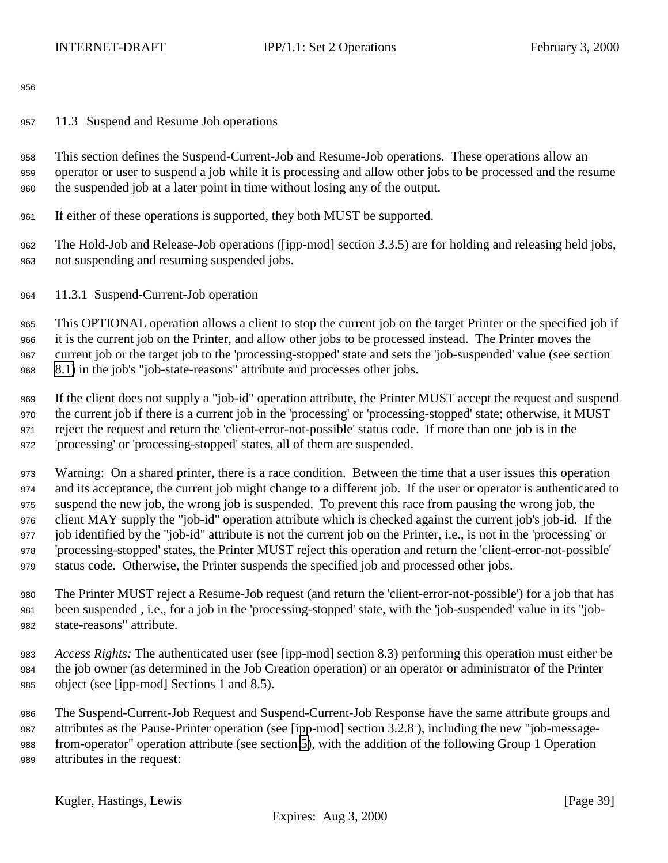<span id="page-38-0"></span>11.3 Suspend and Resume Job operations

 This section defines the Suspend-Current-Job and Resume-Job operations. These operations allow an operator or user to suspend a job while it is processing and allow other jobs to be processed and the resume the suspended job at a later point in time without losing any of the output.

If either of these operations is supported, they both MUST be supported.

 The Hold-Job and Release-Job operations ([ipp-mod] section 3.3.5) are for holding and releasing held jobs, not suspending and resuming suspended jobs.

11.3.1 Suspend-Current-Job operation

 This OPTIONAL operation allows a client to stop the current job on the target Printer or the specified job if it is the current job on the Printer, and allow other jobs to be processed instead. The Printer moves the current job or the target job to the 'processing-stopped' state and sets the 'job-suspended' value (see section [8.1\)](#page-23-0) in the job's "job-state-reasons" attribute and processes other jobs.

 If the client does not supply a "job-id" operation attribute, the Printer MUST accept the request and suspend the current job if there is a current job in the 'processing' or 'processing-stopped' state; otherwise, it MUST reject the request and return the 'client-error-not-possible' status code. If more than one job is in the 'processing' or 'processing-stopped' states, all of them are suspended.

 Warning: On a shared printer, there is a race condition. Between the time that a user issues this operation and its acceptance, the current job might change to a different job. If the user or operator is authenticated to suspend the new job, the wrong job is suspended. To prevent this race from pausing the wrong job, the client MAY supply the "job-id" operation attribute which is checked against the current job's job-id. If the job identified by the "job-id" attribute is not the current job on the Printer, i.e., is not in the 'processing' or 'processing-stopped' states, the Printer MUST reject this operation and return the 'client-error-not-possible' status code. Otherwise, the Printer suspends the specified job and processed other jobs.

 The Printer MUST reject a Resume-Job request (and return the 'client-error-not-possible') for a job that has been suspended , i.e., for a job in the 'processing-stopped' state, with the 'job-suspended' value in its "job-state-reasons" attribute.

 *Access Rights:* The authenticated user (see [ipp-mod] section 8.3) performing this operation must either be the job owner (as determined in the Job Creation operation) or an operator or administrator of the Printer object (see [ipp-mod] Sections 1 and 8.5).

 The Suspend-Current-Job Request and Suspend-Current-Job Response have the same attribute groups and attributes as the Pause-Printer operation (see [ipp-mod] section 3.2.8 ), including the new "job-message- from-operator" operation attribute (see section [5\)](#page-20-0), with the addition of the following Group 1 Operation attributes in the request: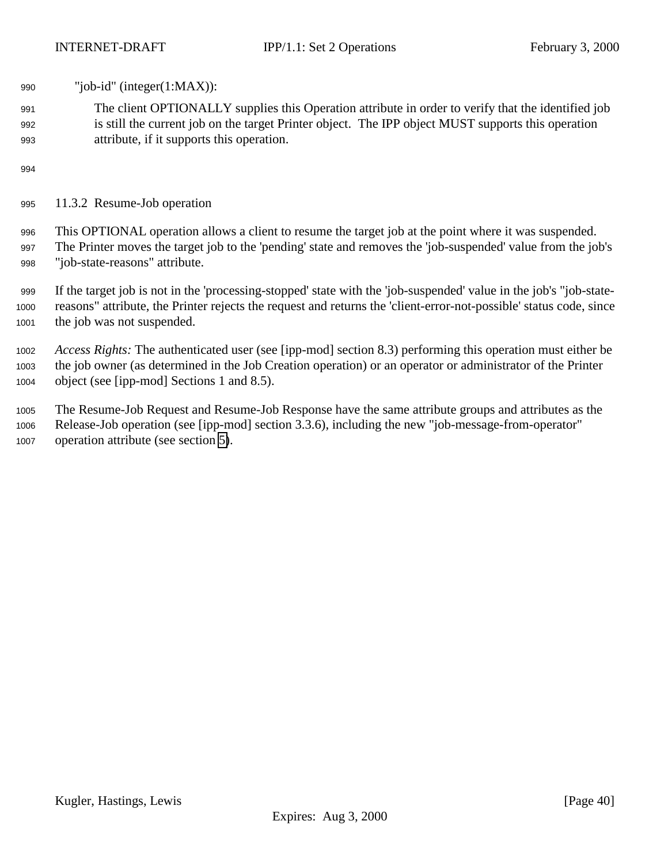<span id="page-39-0"></span>"job-id" (integer(1:MAX)):

 The client OPTIONALLY supplies this Operation attribute in order to verify that the identified job is still the current job on the target Printer object. The IPP object MUST supports this operation attribute, if it supports this operation.

11.3.2 Resume-Job operation

 This OPTIONAL operation allows a client to resume the target job at the point where it was suspended. The Printer moves the target job to the 'pending' state and removes the 'job-suspended' value from the job's "job-state-reasons" attribute.

 If the target job is not in the 'processing-stopped' state with the 'job-suspended' value in the job's "job-state- reasons" attribute, the Printer rejects the request and returns the 'client-error-not-possible' status code, since the job was not suspended.

 *Access Rights:* The authenticated user (see [ipp-mod] section 8.3) performing this operation must either be the job owner (as determined in the Job Creation operation) or an operator or administrator of the Printer object (see [ipp-mod] Sections 1 and 8.5).

 The Resume-Job Request and Resume-Job Response have the same attribute groups and attributes as the Release-Job operation (see [ipp-mod] section 3.3.6), including the new "job-message-from-operator" operation attribute (see section [5\)](#page-20-0).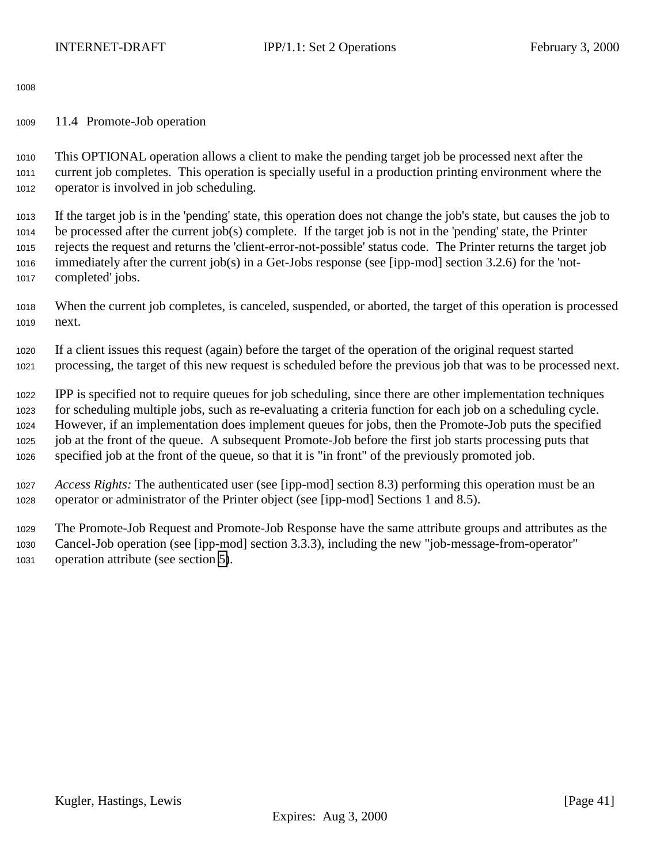<span id="page-40-0"></span>11.4 Promote-Job operation

 This OPTIONAL operation allows a client to make the pending target job be processed next after the current job completes. This operation is specially useful in a production printing environment where the operator is involved in job scheduling.

 If the target job is in the 'pending' state, this operation does not change the job's state, but causes the job to be processed after the current job(s) complete. If the target job is not in the 'pending' state, the Printer rejects the request and returns the 'client-error-not-possible' status code. The Printer returns the target job immediately after the current job(s) in a Get-Jobs response (see [ipp-mod] section 3.2.6) for the 'not-completed' jobs.

 When the current job completes, is canceled, suspended, or aborted, the target of this operation is processed next.

 If a client issues this request (again) before the target of the operation of the original request started processing, the target of this new request is scheduled before the previous job that was to be processed next.

 IPP is specified not to require queues for job scheduling, since there are other implementation techniques for scheduling multiple jobs, such as re-evaluating a criteria function for each job on a scheduling cycle. However, if an implementation does implement queues for jobs, then the Promote-Job puts the specified job at the front of the queue. A subsequent Promote-Job before the first job starts processing puts that specified job at the front of the queue, so that it is "in front" of the previously promoted job.

 *Access Rights:* The authenticated user (see [ipp-mod] section 8.3) performing this operation must be an operator or administrator of the Printer object (see [ipp-mod] Sections 1 and 8.5).

 The Promote-Job Request and Promote-Job Response have the same attribute groups and attributes as the Cancel-Job operation (see [ipp-mod] section 3.3.3), including the new "job-message-from-operator" operation attribute (see section [5\)](#page-20-0).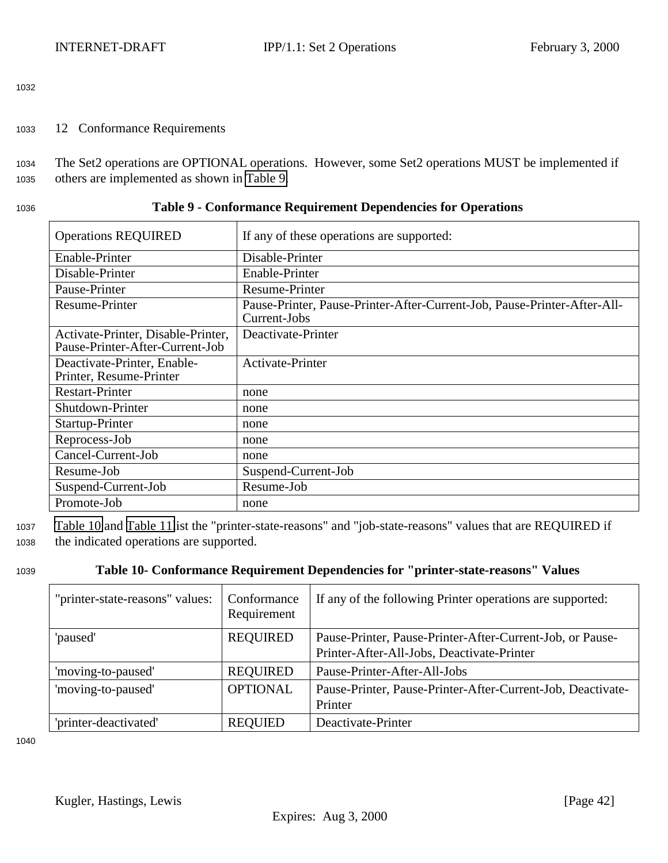<span id="page-41-0"></span><sup>1033</sup> 12 Conformance Requirements

<sup>1034</sup> The Set2 operations are OPTIONAL operations. However, some Set2 operations MUST be implemented if <sup>1035</sup> others are implemented as shown in Table 9.

| 1036 | Table 9 - Conformance Requirement Dependencies for Operations |
|------|---------------------------------------------------------------|
|------|---------------------------------------------------------------|

| <b>Operations REQUIRED</b>                                            | If any of these operations are supported:                                                |
|-----------------------------------------------------------------------|------------------------------------------------------------------------------------------|
| Enable-Printer                                                        | Disable-Printer                                                                          |
| Disable-Printer                                                       | Enable-Printer                                                                           |
| Pause-Printer                                                         | Resume-Printer                                                                           |
| Resume-Printer                                                        | Pause-Printer, Pause-Printer-After-Current-Job, Pause-Printer-After-All-<br>Current-Jobs |
| Activate-Printer, Disable-Printer,<br>Pause-Printer-After-Current-Job | Deactivate-Printer                                                                       |
| Deactivate-Printer, Enable-<br>Printer, Resume-Printer                | Activate-Printer                                                                         |
| <b>Restart-Printer</b>                                                | none                                                                                     |
| Shutdown-Printer                                                      | none                                                                                     |
| Startup-Printer                                                       | none                                                                                     |
| Reprocess-Job                                                         | none                                                                                     |
| Cancel-Current-Job                                                    | none                                                                                     |
| Resume-Job                                                            | Suspend-Current-Job                                                                      |
| Suspend-Current-Job                                                   | Resume-Job                                                                               |
| Promote-Job                                                           | none                                                                                     |

<sup>1037</sup> Table 10 and [Table 11l](#page-42-0)ist the "printer-state-reasons" and "job-state-reasons" values that are REQUIRED if <sup>1038</sup> the indicated operations are supported.

# <sup>1039</sup> **Table 10- Conformance Requirement Dependencies for "printer-state-reasons" Values**

| "printer-state-reasons" values: | Conformance<br>Requirement | If any of the following Printer operations are supported:   |
|---------------------------------|----------------------------|-------------------------------------------------------------|
| 'paused'                        | <b>REQUIRED</b>            | Pause-Printer, Pause-Printer-After-Current-Job, or Pause-   |
|                                 |                            | Printer-After-All-Jobs, Deactivate-Printer                  |
| 'moving-to-paused'              | <b>REQUIRED</b>            | Pause-Printer-After-All-Jobs                                |
| 'moving-to-paused'              | <b>OPTIONAL</b>            | Pause-Printer, Pause-Printer-After-Current-Job, Deactivate- |
|                                 |                            | Printer                                                     |
| 'printer-deactivated'           | <b>REQUIED</b>             | Deactivate-Printer                                          |

1040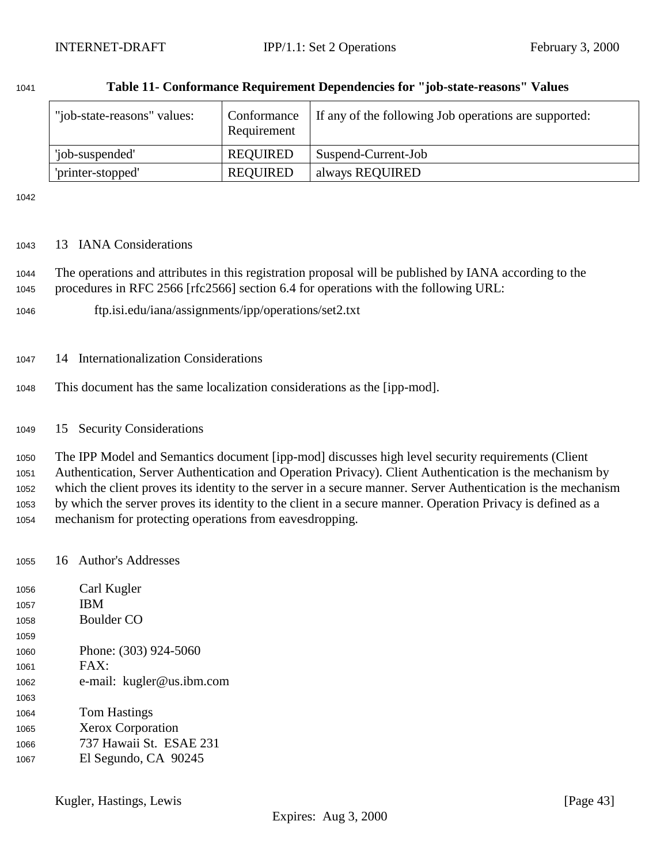| "job-state-reasons" values: | Conformance<br>Requirement | If any of the following Job operations are supported: |
|-----------------------------|----------------------------|-------------------------------------------------------|
| 'job-suspended'             | <b>REQUIRED</b>            | Suspend-Current-Job                                   |
| 'printer-stopped'           | <b>REQUIRED</b>            | always REQUIRED                                       |

#### <span id="page-42-0"></span>**Table 11- Conformance Requirement Dependencies for "job-state-reasons" Values**

### 13 IANA Considerations

 The operations and attributes in this registration proposal will be published by IANA according to the procedures in RFC 2566 [rfc2566] section 6.4 for operations with the following URL:

- ftp.isi.edu/iana/assignments/ipp/operations/set2.txt
- 14 Internationalization Considerations
- This document has the same localization considerations as the [ipp-mod].
- 15 Security Considerations

 The IPP Model and Semantics document [ipp-mod] discusses high level security requirements (Client Authentication, Server Authentication and Operation Privacy). Client Authentication is the mechanism by which the client proves its identity to the server in a secure manner. Server Authentication is the mechanism by which the server proves its identity to the client in a secure manner. Operation Privacy is defined as a mechanism for protecting operations from eavesdropping.

16 Author's Addresses

| 1056 | Carl Kugler               |
|------|---------------------------|
| 1057 | <b>IBM</b>                |
| 1058 | Boulder CO                |
| 1059 |                           |
| 1060 | Phone: (303) 924-5060     |
| 1061 | FAX:                      |
| 1062 | e-mail: kugler@us.ibm.com |
| 1063 |                           |
| 1064 | Tom Hastings              |
| 1065 | <b>Xerox Corporation</b>  |
| 1066 | 737 Hawaii St. ESAE 231   |
| 1067 | El Segundo, CA 90245      |
|      |                           |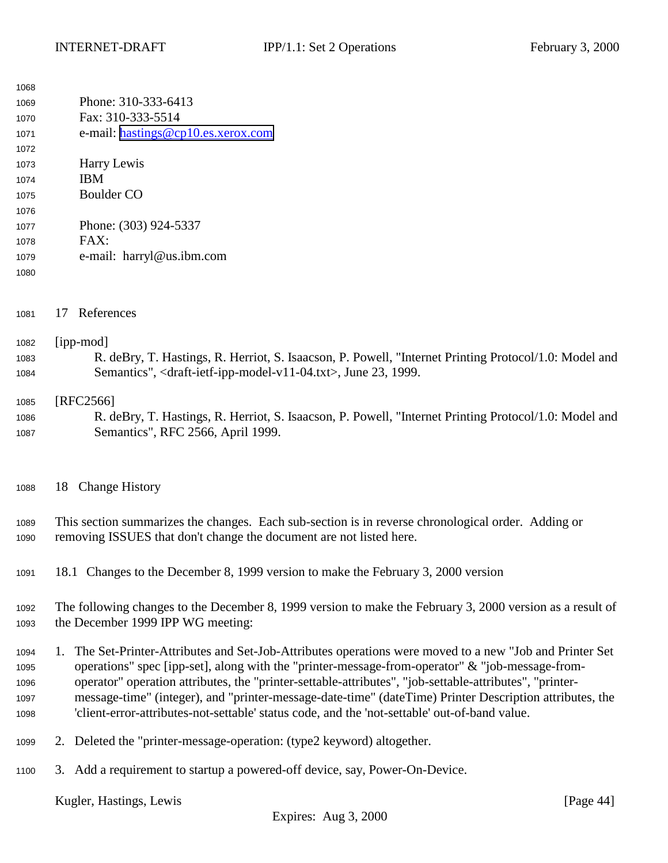<span id="page-43-0"></span>

| 1068 |                                                                                                           |  |  |
|------|-----------------------------------------------------------------------------------------------------------|--|--|
| 1069 | Phone: 310-333-6413                                                                                       |  |  |
| 1070 | Fax: 310-333-5514                                                                                         |  |  |
| 1071 | e-mail: hastings@cp10.es.xerox.com                                                                        |  |  |
| 1072 |                                                                                                           |  |  |
| 1073 | Harry Lewis                                                                                               |  |  |
| 1074 | <b>IBM</b>                                                                                                |  |  |
| 1075 | <b>Boulder CO</b>                                                                                         |  |  |
| 1076 |                                                                                                           |  |  |
| 1077 | Phone: (303) 924-5337                                                                                     |  |  |
| 1078 | FAX:                                                                                                      |  |  |
| 1079 | e-mail: harryl@us.ibm.com                                                                                 |  |  |
| 1080 |                                                                                                           |  |  |
|      |                                                                                                           |  |  |
|      |                                                                                                           |  |  |
| 1081 | References<br>17                                                                                          |  |  |
|      |                                                                                                           |  |  |
| 1082 | [ipp-mod]                                                                                                 |  |  |
| 1083 | R. deBry, T. Hastings, R. Herriot, S. Isaacson, P. Powell, "Internet Printing Protocol/1.0: Model and     |  |  |
| 1084 | Semantics", <draft-ietf-ipp-model-v11-04.txt>, June 23, 1999.</draft-ietf-ipp-model-v11-04.txt>           |  |  |
| 1085 | [RFC2566]                                                                                                 |  |  |
| 1086 | R. deBry, T. Hastings, R. Herriot, S. Isaacson, P. Powell, "Internet Printing Protocol/1.0: Model and     |  |  |
| 1087 | Semantics", RFC 2566, April 1999.                                                                         |  |  |
|      |                                                                                                           |  |  |
|      |                                                                                                           |  |  |
|      |                                                                                                           |  |  |
| 1088 | <b>Change History</b><br>18                                                                               |  |  |
|      |                                                                                                           |  |  |
| 1089 | This section summarizes the changes. Each sub-section is in reverse chronological order. Adding or        |  |  |
| 1090 | removing ISSUES that don't change the document are not listed here.                                       |  |  |
|      |                                                                                                           |  |  |
| 1091 | 18.1 Changes to the December 8, 1999 version to make the February 3, 2000 version                         |  |  |
|      |                                                                                                           |  |  |
| 1092 | The following changes to the December 8, 1999 version to make the February 3, 2000 version as a result of |  |  |
| 1093 | the December 1999 IPP WG meeting:                                                                         |  |  |
|      |                                                                                                           |  |  |
| 1094 | 1. The Set-Printer-Attributes and Set-Job-Attributes operations were moved to a new "Job and Printer Set" |  |  |
| 1095 | operations" spec [ipp-set], along with the "printer-message-from-operator" & "job-message-from-           |  |  |
| 1096 | operator" operation attributes, the "printer-settable-attributes", "job-settable-attributes", "printer-   |  |  |
| 1097 | message-time" (integer), and "printer-message-date-time" (dateTime) Printer Description attributes, the   |  |  |
| 1098 | 'client-error-attributes-not-settable' status code, and the 'not-settable' out-of-band value.             |  |  |
|      |                                                                                                           |  |  |
| 1099 | 2. Deleted the "printer-message-operation: (type2 keyword) altogether.                                    |  |  |
|      |                                                                                                           |  |  |
| 1100 | 3. Add a requirement to startup a powered-off device, say, Power-On-Device.                               |  |  |
|      |                                                                                                           |  |  |
|      | Kugler, Hastings, Lewis<br>[Page $44$ ]                                                                   |  |  |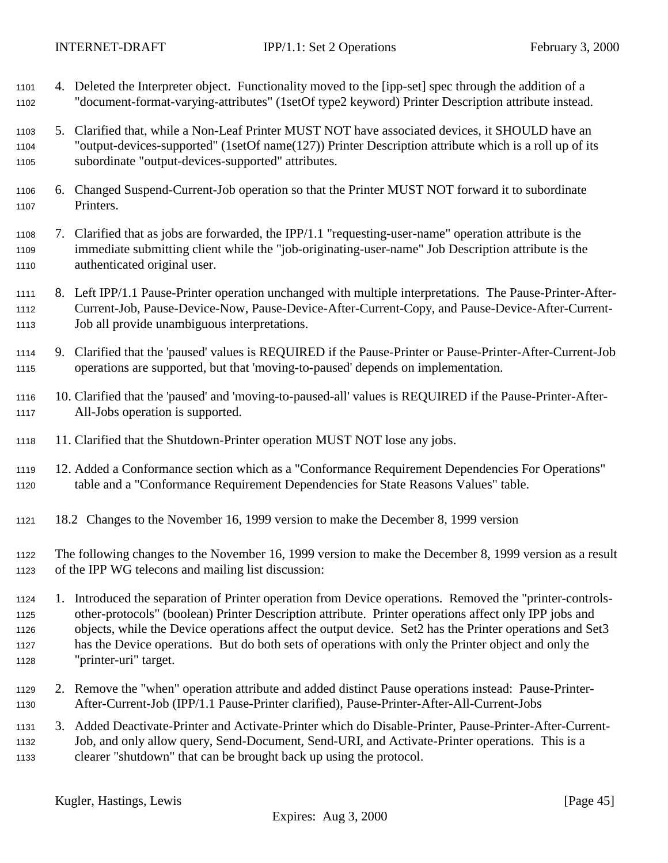<span id="page-44-0"></span> 4. Deleted the Interpreter object. Functionality moved to the [ipp-set] spec through the addition of a "document-format-varying-attributes" (1setOf type2 keyword) Printer Description attribute instead. 5. Clarified that, while a Non-Leaf Printer MUST NOT have associated devices, it SHOULD have an "output-devices-supported" (1setOf name(127)) Printer Description attribute which is a roll up of its subordinate "output-devices-supported" attributes. 6. Changed Suspend-Current-Job operation so that the Printer MUST NOT forward it to subordinate Printers. 7. Clarified that as jobs are forwarded, the IPP/1.1 "requesting-user-name" operation attribute is the immediate submitting client while the "job-originating-user-name" Job Description attribute is the authenticated original user. 8. Left IPP/1.1 Pause-Printer operation unchanged with multiple interpretations. The Pause-Printer-After- Current-Job, Pause-Device-Now, Pause-Device-After-Current-Copy, and Pause-Device-After-Current- Job all provide unambiguous interpretations. 9. Clarified that the 'paused' values is REQUIRED if the Pause-Printer or Pause-Printer-After-Current-Job operations are supported, but that 'moving-to-paused' depends on implementation. 10. Clarified that the 'paused' and 'moving-to-paused-all' values is REQUIRED if the Pause-Printer-After- All-Jobs operation is supported. 11. Clarified that the Shutdown-Printer operation MUST NOT lose any jobs. 12. Added a Conformance section which as a "Conformance Requirement Dependencies For Operations" table and a "Conformance Requirement Dependencies for State Reasons Values" table. 18.2 Changes to the November 16, 1999 version to make the December 8, 1999 version The following changes to the November 16, 1999 version to make the December 8, 1999 version as a result of the IPP WG telecons and mailing list discussion: 1. Introduced the separation of Printer operation from Device operations. Removed the "printer-controls- other-protocols" (boolean) Printer Description attribute. Printer operations affect only IPP jobs and objects, while the Device operations affect the output device. Set2 has the Printer operations and Set3 has the Device operations. But do both sets of operations with only the Printer object and only the "printer-uri" target. 2. Remove the "when" operation attribute and added distinct Pause operations instead: Pause-Printer- After-Current-Job (IPP/1.1 Pause-Printer clarified), Pause-Printer-After-All-Current-Jobs 3. Added Deactivate-Printer and Activate-Printer which do Disable-Printer, Pause-Printer-After-Current- Job, and only allow query, Send-Document, Send-URI, and Activate-Printer operations. This is a clearer "shutdown" that can be brought back up using the protocol.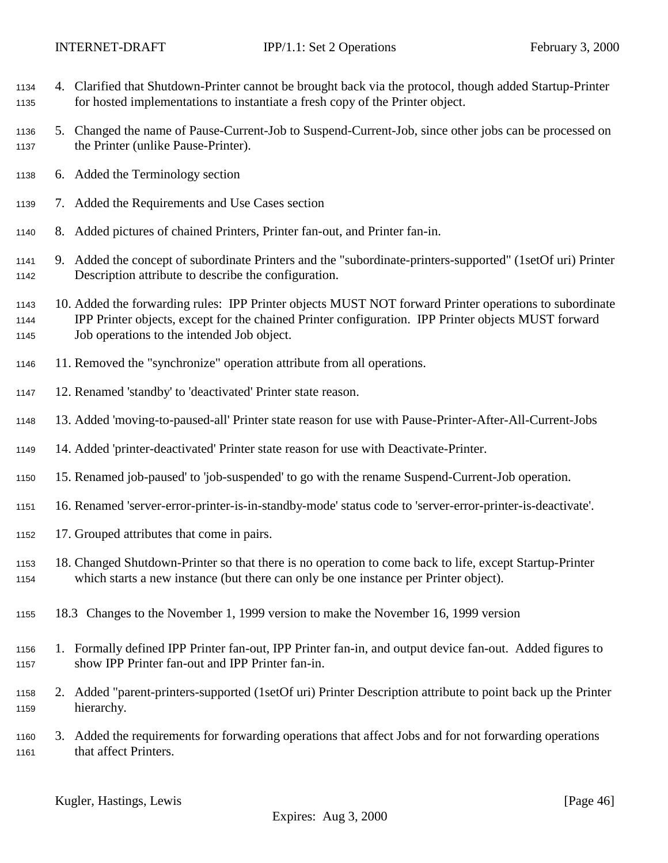- <span id="page-45-0"></span> 4. Clarified that Shutdown-Printer cannot be brought back via the protocol, though added Startup-Printer for hosted implementations to instantiate a fresh copy of the Printer object.
- 5. Changed the name of Pause-Current-Job to Suspend-Current-Job, since other jobs can be processed on the Printer (unlike Pause-Printer).
- 6. Added the Terminology section
- 7. Added the Requirements and Use Cases section
- 8. Added pictures of chained Printers, Printer fan-out, and Printer fan-in.
- 9. Added the concept of subordinate Printers and the "subordinate-printers-supported" (1setOf uri) Printer Description attribute to describe the configuration.
- 10. Added the forwarding rules: IPP Printer objects MUST NOT forward Printer operations to subordinate IPP Printer objects, except for the chained Printer configuration. IPP Printer objects MUST forward Job operations to the intended Job object.
- 11. Removed the "synchronize" operation attribute from all operations.
- 12. Renamed 'standby' to 'deactivated' Printer state reason.
- 13. Added 'moving-to-paused-all' Printer state reason for use with Pause-Printer-After-All-Current-Jobs
- 14. Added 'printer-deactivated' Printer state reason for use with Deactivate-Printer.
- 15. Renamed job-paused' to 'job-suspended' to go with the rename Suspend-Current-Job operation.
- 16. Renamed 'server-error-printer-is-in-standby-mode' status code to 'server-error-printer-is-deactivate'.
- 17. Grouped attributes that come in pairs.
- 18. Changed Shutdown-Printer so that there is no operation to come back to life, except Startup-Printer which starts a new instance (but there can only be one instance per Printer object).
- 18.3 Changes to the November 1, 1999 version to make the November 16, 1999 version
- 1. Formally defined IPP Printer fan-out, IPP Printer fan-in, and output device fan-out. Added figures to show IPP Printer fan-out and IPP Printer fan-in.
- 2. Added "parent-printers-supported (1setOf uri) Printer Description attribute to point back up the Printer hierarchy.
- 3. Added the requirements for forwarding operations that affect Jobs and for not forwarding operations that affect Printers.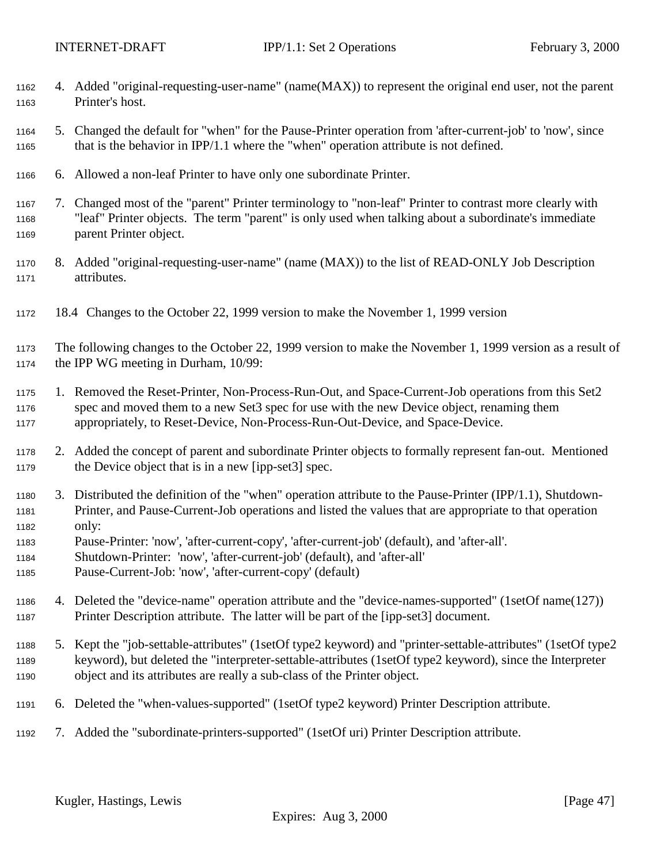- <span id="page-46-0"></span> 4. Added "original-requesting-user-name" (name(MAX)) to represent the original end user, not the parent Printer's host.
- 5. Changed the default for "when" for the Pause-Printer operation from 'after-current-job' to 'now', since that is the behavior in IPP/1.1 where the "when" operation attribute is not defined.
- 6. Allowed a non-leaf Printer to have only one subordinate Printer.
- 7. Changed most of the "parent" Printer terminology to "non-leaf" Printer to contrast more clearly with "leaf" Printer objects. The term "parent" is only used when talking about a subordinate's immediate parent Printer object.
- 8. Added "original-requesting-user-name" (name (MAX)) to the list of READ-ONLY Job Description attributes.
- 18.4 Changes to the October 22, 1999 version to make the November 1, 1999 version

 The following changes to the October 22, 1999 version to make the November 1, 1999 version as a result of the IPP WG meeting in Durham, 10/99:

- 1. Removed the Reset-Printer, Non-Process-Run-Out, and Space-Current-Job operations from this Set2 spec and moved them to a new Set3 spec for use with the new Device object, renaming them appropriately, to Reset-Device, Non-Process-Run-Out-Device, and Space-Device.
- 2. Added the concept of parent and subordinate Printer objects to formally represent fan-out. Mentioned the Device object that is in a new [ipp-set3] spec.
- 3. Distributed the definition of the "when" operation attribute to the Pause-Printer (IPP/1.1), Shutdown- Printer, and Pause-Current-Job operations and listed the values that are appropriate to that operation only:
- Pause-Printer: 'now', 'after-current-copy', 'after-current-job' (default), and 'after-all'.
- Shutdown-Printer: 'now', 'after-current-job' (default), and 'after-all'
- Pause-Current-Job: 'now', 'after-current-copy' (default)
- 4. Deleted the "device-name" operation attribute and the "device-names-supported" (1setOf name(127)) Printer Description attribute. The latter will be part of the [ipp-set3] document.
- 5. Kept the "job-settable-attributes" (1setOf type2 keyword) and "printer-settable-attributes" (1setOf type2 keyword), but deleted the "interpreter-settable-attributes (1setOf type2 keyword), since the Interpreter object and its attributes are really a sub-class of the Printer object.
- 6. Deleted the "when-values-supported" (1setOf type2 keyword) Printer Description attribute.
- 7. Added the "subordinate-printers-supported" (1setOf uri) Printer Description attribute.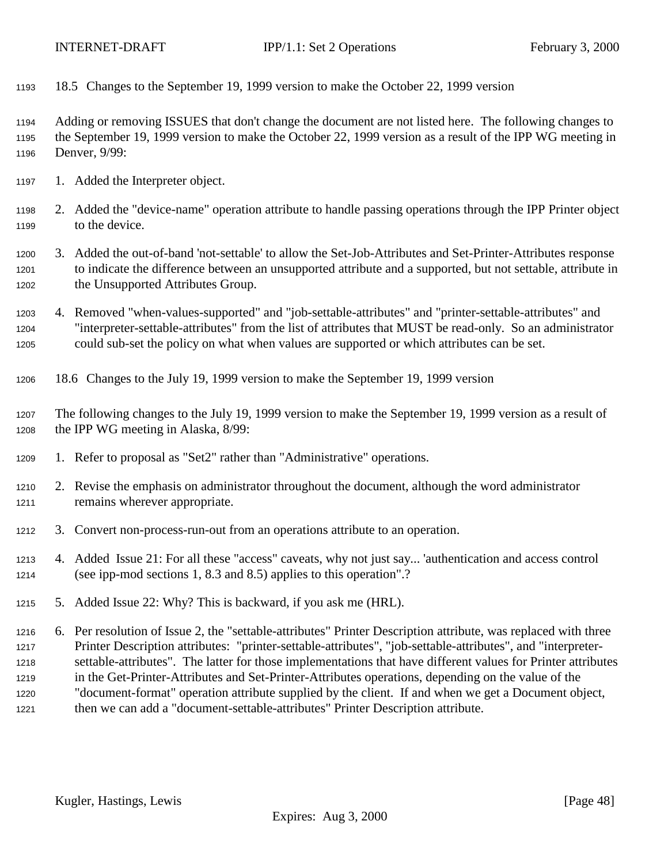<span id="page-47-0"></span>18.5 Changes to the September 19, 1999 version to make the October 22, 1999 version

 Adding or removing ISSUES that don't change the document are not listed here. The following changes to the September 19, 1999 version to make the October 22, 1999 version as a result of the IPP WG meeting in Denver, 9/99:

- 1. Added the Interpreter object.
- 2. Added the "device-name" operation attribute to handle passing operations through the IPP Printer object to the device.
- 3. Added the out-of-band 'not-settable' to allow the Set-Job-Attributes and Set-Printer-Attributes response to indicate the difference between an unsupported attribute and a supported, but not settable, attribute in the Unsupported Attributes Group.
- 4. Removed "when-values-supported" and "job-settable-attributes" and "printer-settable-attributes" and "interpreter-settable-attributes" from the list of attributes that MUST be read-only. So an administrator could sub-set the policy on what when values are supported or which attributes can be set.
- 18.6 Changes to the July 19, 1999 version to make the September 19, 1999 version
- The following changes to the July 19, 1999 version to make the September 19, 1999 version as a result of the IPP WG meeting in Alaska, 8/99:
- 1. Refer to proposal as "Set2" rather than "Administrative" operations.
- 2. Revise the emphasis on administrator throughout the document, although the word administrator remains wherever appropriate.
- 3. Convert non-process-run-out from an operations attribute to an operation.
- 4. Added Issue 21: For all these "access" caveats, why not just say... 'authentication and access control (see ipp-mod sections 1, 8.3 and 8.5) applies to this operation".?
- 5. Added Issue 22: Why? This is backward, if you ask me (HRL).

 6. Per resolution of Issue 2, the "settable-attributes" Printer Description attribute, was replaced with three Printer Description attributes: "printer-settable-attributes", "job-settable-attributes", and "interpreter- settable-attributes". The latter for those implementations that have different values for Printer attributes in the Get-Printer-Attributes and Set-Printer-Attributes operations, depending on the value of the "document-format" operation attribute supplied by the client. If and when we get a Document object, then we can add a "document-settable-attributes" Printer Description attribute.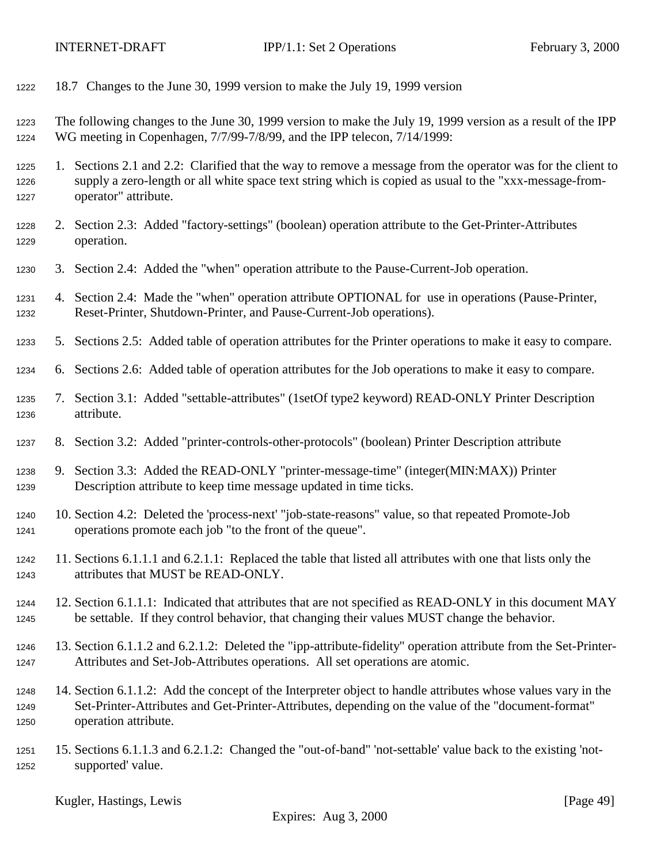- <span id="page-48-0"></span>18.7 Changes to the June 30, 1999 version to make the July 19, 1999 version
- The following changes to the June 30, 1999 version to make the July 19, 1999 version as a result of the IPP WG meeting in Copenhagen, 7/7/99-7/8/99, and the IPP telecon, 7/14/1999:
- 1. Sections 2.1 and 2.2: Clarified that the way to remove a message from the operator was for the client to supply a zero-length or all white space text string which is copied as usual to the "xxx-message-from-operator" attribute.
- 2. Section 2.3: Added "factory-settings" (boolean) operation attribute to the Get-Printer-Attributes operation.
- 3. Section 2.4: Added the "when" operation attribute to the Pause-Current-Job operation.
- 4. Section 2.4: Made the "when" operation attribute OPTIONAL for use in operations (Pause-Printer, Reset-Printer, Shutdown-Printer, and Pause-Current-Job operations).
- 5. Sections 2.5: Added table of operation attributes for the Printer operations to make it easy to compare.
- 6. Sections 2.6: Added table of operation attributes for the Job operations to make it easy to compare.
- 7. Section 3.1: Added "settable-attributes" (1setOf type2 keyword) READ-ONLY Printer Description attribute.
- 8. Section 3.2: Added "printer-controls-other-protocols" (boolean) Printer Description attribute
- 9. Section 3.3: Added the READ-ONLY "printer-message-time" (integer(MIN:MAX)) Printer Description attribute to keep time message updated in time ticks.
- 10. Section 4.2: Deleted the 'process-next' "job-state-reasons" value, so that repeated Promote-Job operations promote each job "to the front of the queue".
- 11. Sections 6.1.1.1 and 6.2.1.1: Replaced the table that listed all attributes with one that lists only the attributes that MUST be READ-ONLY.
- 12. Section 6.1.1.1: Indicated that attributes that are not specified as READ-ONLY in this document MAY be settable. If they control behavior, that changing their values MUST change the behavior.
- 13. Section 6.1.1.2 and 6.2.1.2: Deleted the "ipp-attribute-fidelity" operation attribute from the Set-Printer-Attributes and Set-Job-Attributes operations. All set operations are atomic.
- 14. Section 6.1.1.2: Add the concept of the Interpreter object to handle attributes whose values vary in the Set-Printer-Attributes and Get-Printer-Attributes, depending on the value of the "document-format" operation attribute.
- 15. Sections 6.1.1.3 and 6.2.1.2: Changed the "out-of-band" 'not-settable' value back to the existing 'not-supported' value.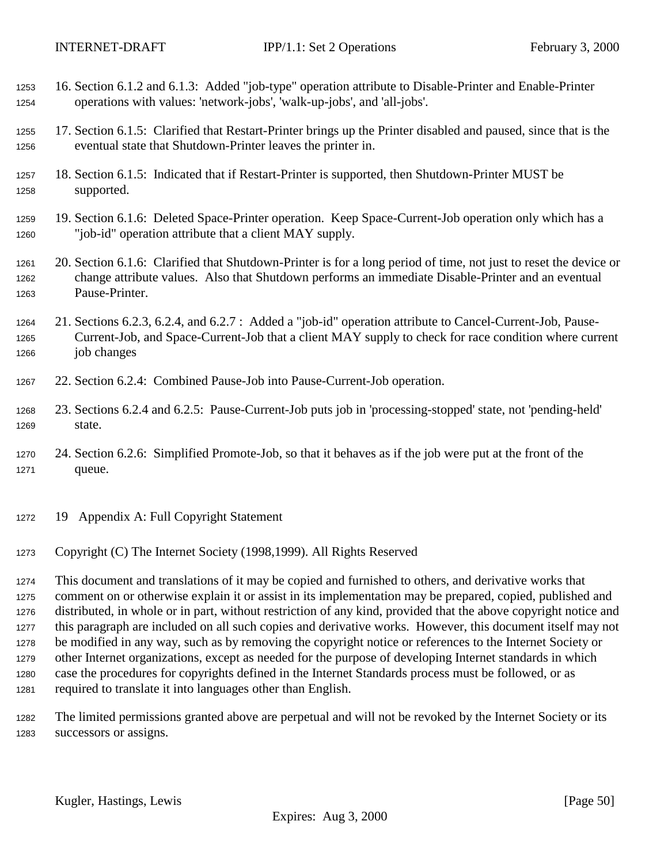- <span id="page-49-0"></span> 16. Section 6.1.2 and 6.1.3: Added "job-type" operation attribute to Disable-Printer and Enable-Printer operations with values: 'network-jobs', 'walk-up-jobs', and 'all-jobs'.
- 17. Section 6.1.5: Clarified that Restart-Printer brings up the Printer disabled and paused, since that is the eventual state that Shutdown-Printer leaves the printer in.
- 18. Section 6.1.5: Indicated that if Restart-Printer is supported, then Shutdown-Printer MUST be supported.
- 19. Section 6.1.6: Deleted Space-Printer operation. Keep Space-Current-Job operation only which has a "job-id" operation attribute that a client MAY supply.
- 20. Section 6.1.6: Clarified that Shutdown-Printer is for a long period of time, not just to reset the device or change attribute values. Also that Shutdown performs an immediate Disable-Printer and an eventual Pause-Printer.
- 21. Sections 6.2.3, 6.2.4, and 6.2.7 : Added a "job-id" operation attribute to Cancel-Current-Job, Pause- Current-Job, and Space-Current-Job that a client MAY supply to check for race condition where current job changes
- 22. Section 6.2.4: Combined Pause-Job into Pause-Current-Job operation.
- 23. Sections 6.2.4 and 6.2.5: Pause-Current-Job puts job in 'processing-stopped' state, not 'pending-held' state.
- 24. Section 6.2.6: Simplified Promote-Job, so that it behaves as if the job were put at the front of the queue.
- 19 Appendix A: Full Copyright Statement
- Copyright (C) The Internet Society (1998,1999). All Rights Reserved

 This document and translations of it may be copied and furnished to others, and derivative works that comment on or otherwise explain it or assist in its implementation may be prepared, copied, published and distributed, in whole or in part, without restriction of any kind, provided that the above copyright notice and this paragraph are included on all such copies and derivative works. However, this document itself may not be modified in any way, such as by removing the copyright notice or references to the Internet Society or other Internet organizations, except as needed for the purpose of developing Internet standards in which case the procedures for copyrights defined in the Internet Standards process must be followed, or as required to translate it into languages other than English.

 The limited permissions granted above are perpetual and will not be revoked by the Internet Society or its successors or assigns.